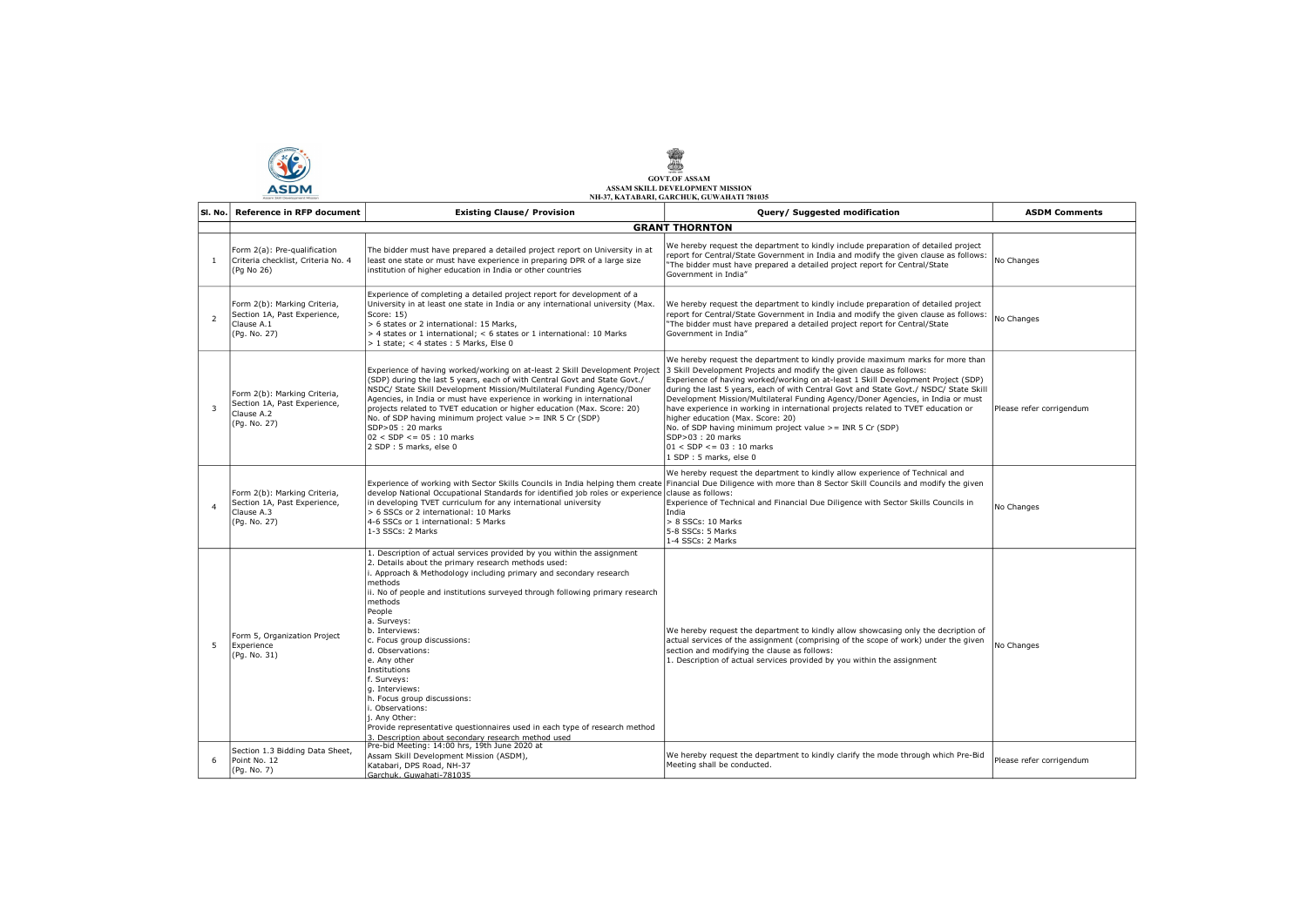**SE** 

## GOVT.OF ASSAM ASSAM SKILL DEVELOPMENT MISSION NH-37, KATABARI, GARCHUK, GUWAHATI 781035

| SI. No.                 | <b>Reference in RFP document</b>                                                           | <b>Existing Clause/ Provision</b>                                                                                                                                                                                                                                                                                                                                                                                                                                                                                                                                                                                                                                                   | Query/ Suggested modification                                                                                                                                                                                                                                                                                                                                                                                                                                                                                                                                                                                                                                                                        | <b>ASDM Comments</b>     |
|-------------------------|--------------------------------------------------------------------------------------------|-------------------------------------------------------------------------------------------------------------------------------------------------------------------------------------------------------------------------------------------------------------------------------------------------------------------------------------------------------------------------------------------------------------------------------------------------------------------------------------------------------------------------------------------------------------------------------------------------------------------------------------------------------------------------------------|------------------------------------------------------------------------------------------------------------------------------------------------------------------------------------------------------------------------------------------------------------------------------------------------------------------------------------------------------------------------------------------------------------------------------------------------------------------------------------------------------------------------------------------------------------------------------------------------------------------------------------------------------------------------------------------------------|--------------------------|
|                         |                                                                                            |                                                                                                                                                                                                                                                                                                                                                                                                                                                                                                                                                                                                                                                                                     | <b>GRANT THORNTON</b>                                                                                                                                                                                                                                                                                                                                                                                                                                                                                                                                                                                                                                                                                |                          |
| $\mathbf{1}$            | Form 2(a): Pre-qualification<br>Criteria checklist, Criteria No. 4<br>(Pq No 26)           | The bidder must have prepared a detailed project report on University in at<br>least one state or must have experience in preparing DPR of a large size<br>institution of higher education in India or other countries                                                                                                                                                                                                                                                                                                                                                                                                                                                              | We hereby request the department to kindly include preparation of detailed project<br>report for Central/State Government in India and modify the given clause as follows:<br>"The bidder must have prepared a detailed project report for Central/State<br>Government in India"                                                                                                                                                                                                                                                                                                                                                                                                                     | No Changes               |
| $\overline{2}$          | Form 2(b): Marking Criteria,<br>Section 1A, Past Experience,<br>Clause A.1<br>(Pg. No. 27) | Experience of completing a detailed project report for development of a<br>University in at least one state in India or any international university (Max.<br>Score: 15)<br>> 6 states or 2 international: 15 Marks.<br>> 4 states or 1 international; < 6 states or 1 international: 10 Marks<br>> 1 state; < 4 states: 5 Marks, Else 0                                                                                                                                                                                                                                                                                                                                            | We hereby request the department to kindly include preparation of detailed project<br>report for Central/State Government in India and modify the given clause as follows:<br>"The bidder must have prepared a detailed project report for Central/State<br>Government in India"                                                                                                                                                                                                                                                                                                                                                                                                                     | No Changes               |
| $\overline{\mathbf{3}}$ | Form 2(b): Marking Criteria,<br>Section 1A, Past Experience,<br>Clause A.2<br>(Pg. No. 27) | Experience of having worked/working on at-least 2 Skill Development Project<br>(SDP) during the last 5 years, each of with Central Govt and State Govt./<br>NSDC/ State Skill Development Mission/Multilateral Funding Agency/Doner<br>Agencies, in India or must have experience in working in international<br>projects related to TVET education or higher education (Max. Score: 20)<br>No. of SDP having minimum project value >= INR 5 Cr (SDP)<br>SDP>05: 20 marks<br>$02 < SDP \le 05 : 10$ marks<br>2 SDP: 5 marks, else 0                                                                                                                                                 | We hereby request the department to kindly provide maximum marks for more than<br>3 Skill Development Projects and modify the given clause as follows:<br>Experience of having worked/working on at-least 1 Skill Development Project (SDP)<br>during the last 5 years, each of with Central Govt and State Govt./ NSDC/ State Skill<br>Development Mission/Multilateral Funding Agency/Doner Agencies, in India or must<br>have experience in working in international projects related to TVET education or<br>higher education (Max. Score: 20)<br>No. of SDP having minimum project value $>=$ INR 5 Cr (SDP)<br>SDP>03: 20 marks<br>$01 <$ SDP $\leq$ = 03 : 10 marks<br>1 SDP: 5 marks, else 0 | Please refer corrigendum |
| $\overline{4}$          | Form 2(b): Marking Criteria,<br>Section 1A, Past Experience,<br>Clause A.3<br>(Pg. No. 27) | Experience of working with Sector Skills Councils in India helping them create<br>develop National Occupational Standards for identified job roles or experience clause as follows:<br>in developing TVET curriculum for any international university<br>> 6 SSCs or 2 international: 10 Marks<br>4-6 SSCs or 1 international: 5 Marks<br>1-3 SSCs: 2 Marks                                                                                                                                                                                                                                                                                                                         | We hereby request the department to kindly allow experience of Technical and<br>Financial Due Diligence with more than 8 Sector Skill Councils and modify the given<br>Experience of Technical and Financial Due Diligence with Sector Skills Councils in<br>India<br>> 8 SSCs: 10 Marks<br>5-8 SSCs: 5 Marks<br>1-4 SSCs: 2 Marks                                                                                                                                                                                                                                                                                                                                                                   | No Changes               |
| -5                      | Form 5, Organization Project<br>Experience<br>(Pg. No. 31)                                 | 1. Description of actual services provided by you within the assignment<br>2. Details about the primary research methods used:<br>i. Approach & Methodology including primary and secondary research<br>methods<br>ii. No of people and institutions surveyed through following primary research<br>methods<br>People<br>a. Surveys:<br>b. Interviews:<br>c. Focus group discussions:<br>d. Observations:<br>e. Any other<br>Institutions<br>f. Surveys:<br>q. Interviews:<br>h. Focus group discussions:<br>i. Observations:<br>i. Anv Other:<br>Provide representative questionnaires used in each type of research method<br>3. Description about secondary research method used | We hereby request the department to kindly allow showcasing only the decription of<br>actual services of the assignment (comprising of the scope of work) under the given<br>section and modifying the clause as follows:<br>1. Description of actual services provided by you within the assignment                                                                                                                                                                                                                                                                                                                                                                                                 | No Changes               |
| 6                       | Section 1.3 Bidding Data Sheet,<br>Point No. 12<br>(Pg. No. 7)                             | Pre-bid Meeting: 14:00 hrs, 19th June 2020 at<br>Assam Skill Development Mission (ASDM),<br>Katabari, DPS Road, NH-37<br>Garchuk, Guwahati-781035                                                                                                                                                                                                                                                                                                                                                                                                                                                                                                                                   | We hereby request the department to kindly clarify the mode through which Pre-Bid<br>Meeting shall be conducted.                                                                                                                                                                                                                                                                                                                                                                                                                                                                                                                                                                                     | Please refer corrigendum |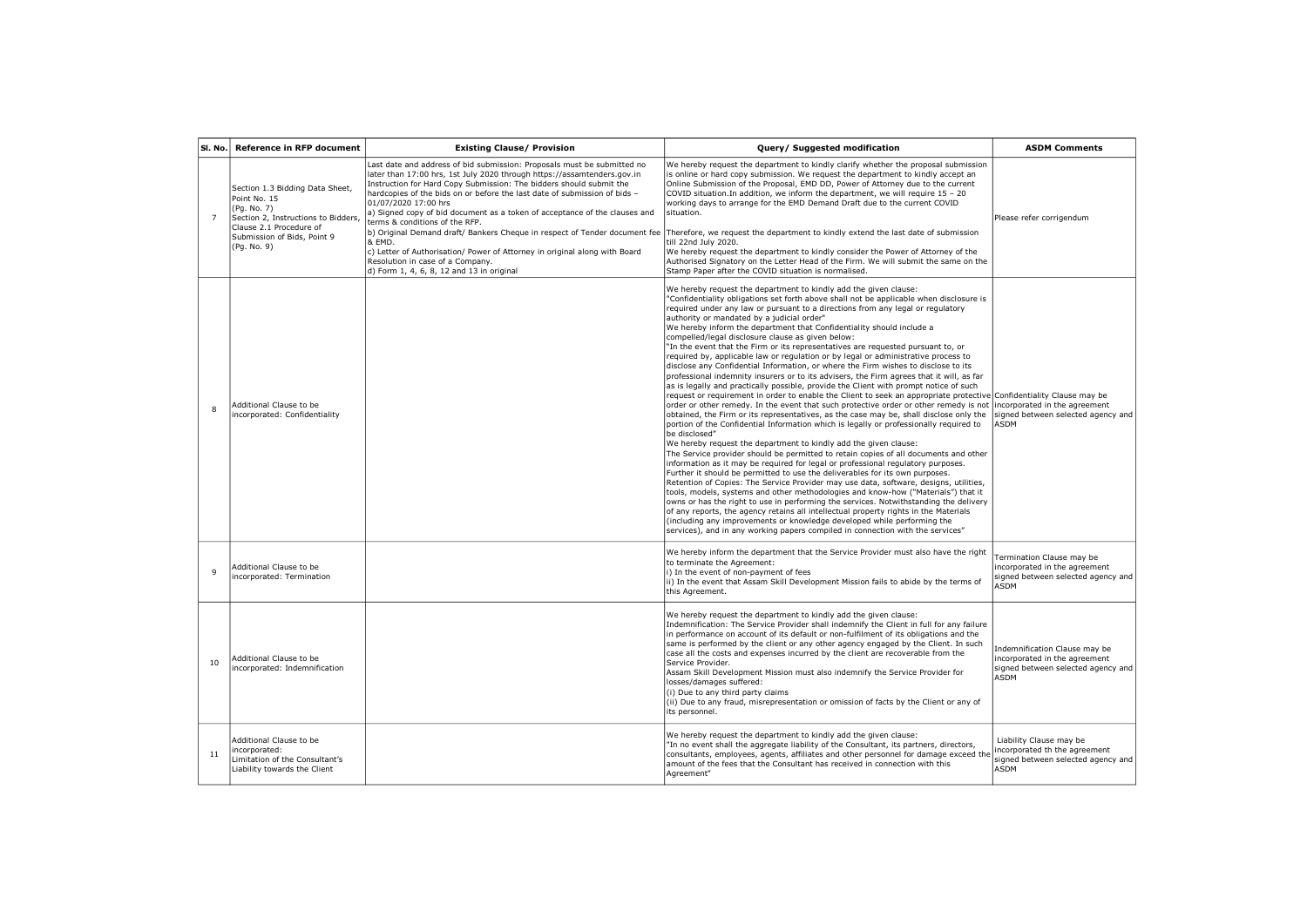| SI. No.        | <b>Reference in RFP document</b>                                                                                                                                               | <b>Existing Clause/ Provision</b>                                                                                                                                                                                                                                                                                                                                                                                                                                                                                                                                                                                    | Query/ Suggested modification                                                                                                                                                                                                                                                                                                                                                                                                                                                                                                                                                                                                                                                                                                                                                                                                                                                                                                                                                                                                                                                                                                                                                                                                                                                                                                                                                                                                                                                                                                                                                                                                                                                                                                                                                                                                                                                                                                                                                                                                                                                                                                                                     | <b>ASDM Comments</b>                                                                                                |
|----------------|--------------------------------------------------------------------------------------------------------------------------------------------------------------------------------|----------------------------------------------------------------------------------------------------------------------------------------------------------------------------------------------------------------------------------------------------------------------------------------------------------------------------------------------------------------------------------------------------------------------------------------------------------------------------------------------------------------------------------------------------------------------------------------------------------------------|-------------------------------------------------------------------------------------------------------------------------------------------------------------------------------------------------------------------------------------------------------------------------------------------------------------------------------------------------------------------------------------------------------------------------------------------------------------------------------------------------------------------------------------------------------------------------------------------------------------------------------------------------------------------------------------------------------------------------------------------------------------------------------------------------------------------------------------------------------------------------------------------------------------------------------------------------------------------------------------------------------------------------------------------------------------------------------------------------------------------------------------------------------------------------------------------------------------------------------------------------------------------------------------------------------------------------------------------------------------------------------------------------------------------------------------------------------------------------------------------------------------------------------------------------------------------------------------------------------------------------------------------------------------------------------------------------------------------------------------------------------------------------------------------------------------------------------------------------------------------------------------------------------------------------------------------------------------------------------------------------------------------------------------------------------------------------------------------------------------------------------------------------------------------|---------------------------------------------------------------------------------------------------------------------|
| $\overline{7}$ | Section 1.3 Bidding Data Sheet,<br>Point No. 15<br>(Pg. No. 7)<br>Section 2, Instructions to Bidders,<br>Clause 2.1 Procedure of<br>Submission of Bids, Point 9<br>(Pq. No. 9) | Last date and address of bid submission: Proposals must be submitted no<br>later than 17:00 hrs, 1st July 2020 through https://assamtenders.gov.in<br>Instruction for Hard Copy Submission: The bidders should submit the<br>hardcopies of the bids on or before the last date of submission of bids -<br>01/07/2020 17:00 hrs<br>a) Signed copy of bid document as a token of acceptance of the clauses and<br>terms & conditions of the RFP.<br>b) Original Demand draft/ Bankers Cheque in respect of Tender document fee<br>& EMD.<br>c) Letter of Authorisation/ Power of Attorney in original along with Board | We hereby request the department to kindly clarify whether the proposal submission<br>is online or hard copy submission. We request the department to kindly accept an<br>Online Submission of the Proposal, EMD DD, Power of Attorney due to the current<br>COVID situation. In addition, we inform the department, we will require 15 - 20<br>working days to arrange for the EMD Demand Draft due to the current COVID<br>situation.<br>Therefore, we request the department to kindly extend the last date of submission<br>till 22nd July 2020.<br>We hereby request the department to kindly consider the Power of Attorney of the                                                                                                                                                                                                                                                                                                                                                                                                                                                                                                                                                                                                                                                                                                                                                                                                                                                                                                                                                                                                                                                                                                                                                                                                                                                                                                                                                                                                                                                                                                                          | Please refer corrigendum                                                                                            |
|                |                                                                                                                                                                                | Resolution in case of a Company.<br>d) Form 1, 4, 6, 8, 12 and 13 in original                                                                                                                                                                                                                                                                                                                                                                                                                                                                                                                                        | Authorised Signatory on the Letter Head of the Firm. We will submit the same on the<br>Stamp Paper after the COVID situation is normalised.                                                                                                                                                                                                                                                                                                                                                                                                                                                                                                                                                                                                                                                                                                                                                                                                                                                                                                                                                                                                                                                                                                                                                                                                                                                                                                                                                                                                                                                                                                                                                                                                                                                                                                                                                                                                                                                                                                                                                                                                                       |                                                                                                                     |
| 8              | Additional Clause to be<br>incorporated: Confidentiality                                                                                                                       |                                                                                                                                                                                                                                                                                                                                                                                                                                                                                                                                                                                                                      | We hereby request the department to kindly add the given clause:<br>"Confidentiality obligations set forth above shall not be applicable when disclosure is<br>required under any law or pursuant to a directions from any legal or regulatory<br>authority or mandated by a judicial order"<br>We hereby inform the department that Confidentiality should include a<br>compelled/legal disclosure clause as given below:<br>"In the event that the Firm or its representatives are requested pursuant to, or<br>required by, applicable law or requlation or by legal or administrative process to<br>disclose any Confidential Information, or where the Firm wishes to disclose to its<br>professional indemnity insurers or to its advisers, the Firm agrees that it will, as far<br>as is legally and practically possible, provide the Client with prompt notice of such<br>request or requirement in order to enable the Client to seek an appropriate protective Confidentiality Clause may be<br>order or other remedy. In the event that such protective order or other remedy is not<br>obtained, the Firm or its representatives, as the case may be, shall disclose only the<br>portion of the Confidential Information which is legally or professionally required to<br>be disclosed"<br>We hereby request the department to kindly add the given clause:<br>The Service provider should be permitted to retain copies of all documents and other<br>information as it may be required for legal or professional regulatory purposes.<br>Further it should be permitted to use the deliverables for its own purposes.<br>Retention of Copies: The Service Provider may use data, software, designs, utilities,<br>tools, models, systems and other methodologies and know-how ("Materials") that it<br>owns or has the right to use in performing the services. Notwithstanding the delivery<br>of any reports, the agency retains all intellectual property rights in the Materials<br>(including any improvements or knowledge developed while performing the<br>services), and in any working papers compiled in connection with the services" | incorporated in the agreement<br>signed between selected agency and<br><b>ASDM</b>                                  |
| $\mathbf{q}$   | Additional Clause to be<br>incorporated: Termination                                                                                                                           |                                                                                                                                                                                                                                                                                                                                                                                                                                                                                                                                                                                                                      | We hereby inform the department that the Service Provider must also have the right<br>to terminate the Agreement:<br>i) In the event of non-payment of fees<br>ii) In the event that Assam Skill Development Mission fails to abide by the terms of<br>this Agreement.                                                                                                                                                                                                                                                                                                                                                                                                                                                                                                                                                                                                                                                                                                                                                                                                                                                                                                                                                                                                                                                                                                                                                                                                                                                                                                                                                                                                                                                                                                                                                                                                                                                                                                                                                                                                                                                                                            | Termination Clause may be<br>incorporated in the agreement<br>signed between selected agency and<br>ASDM            |
| 10             | Additional Clause to be<br>incorporated: Indemnification                                                                                                                       |                                                                                                                                                                                                                                                                                                                                                                                                                                                                                                                                                                                                                      | We hereby request the department to kindly add the given clause:<br>Indemnification: The Service Provider shall indemnify the Client in full for any failure<br>in performance on account of its default or non-fulfilment of its obligations and the<br>same is performed by the client or any other agency engaged by the Client. In such<br>case all the costs and expenses incurred by the client are recoverable from the<br>Service Provider.<br>Assam Skill Development Mission must also indemnify the Service Provider for<br>losses/damages suffered:<br>(i) Due to any third party claims<br>(ii) Due to any fraud, misrepresentation or omission of facts by the Client or any of<br>its personnel.                                                                                                                                                                                                                                                                                                                                                                                                                                                                                                                                                                                                                                                                                                                                                                                                                                                                                                                                                                                                                                                                                                                                                                                                                                                                                                                                                                                                                                                   | Indemnification Clause may be<br>incorporated in the agreement<br>signed between selected agency and<br><b>ASDM</b> |
| 11             | Additional Clause to be<br>incorporated:<br>Limitation of the Consultant's<br>Liability towards the Client                                                                     |                                                                                                                                                                                                                                                                                                                                                                                                                                                                                                                                                                                                                      | We hereby request the department to kindly add the given clause:<br>"In no event shall the aggregate liability of the Consultant, its partners, directors,<br>consultants, employees, agents, affiliates and other personnel for damage exceed the<br>amount of the fees that the Consultant has received in connection with this<br>Agreement"                                                                                                                                                                                                                                                                                                                                                                                                                                                                                                                                                                                                                                                                                                                                                                                                                                                                                                                                                                                                                                                                                                                                                                                                                                                                                                                                                                                                                                                                                                                                                                                                                                                                                                                                                                                                                   | Liability Clause may be<br>incorporated th the agreement<br>signed between selected agency and<br>ASDM              |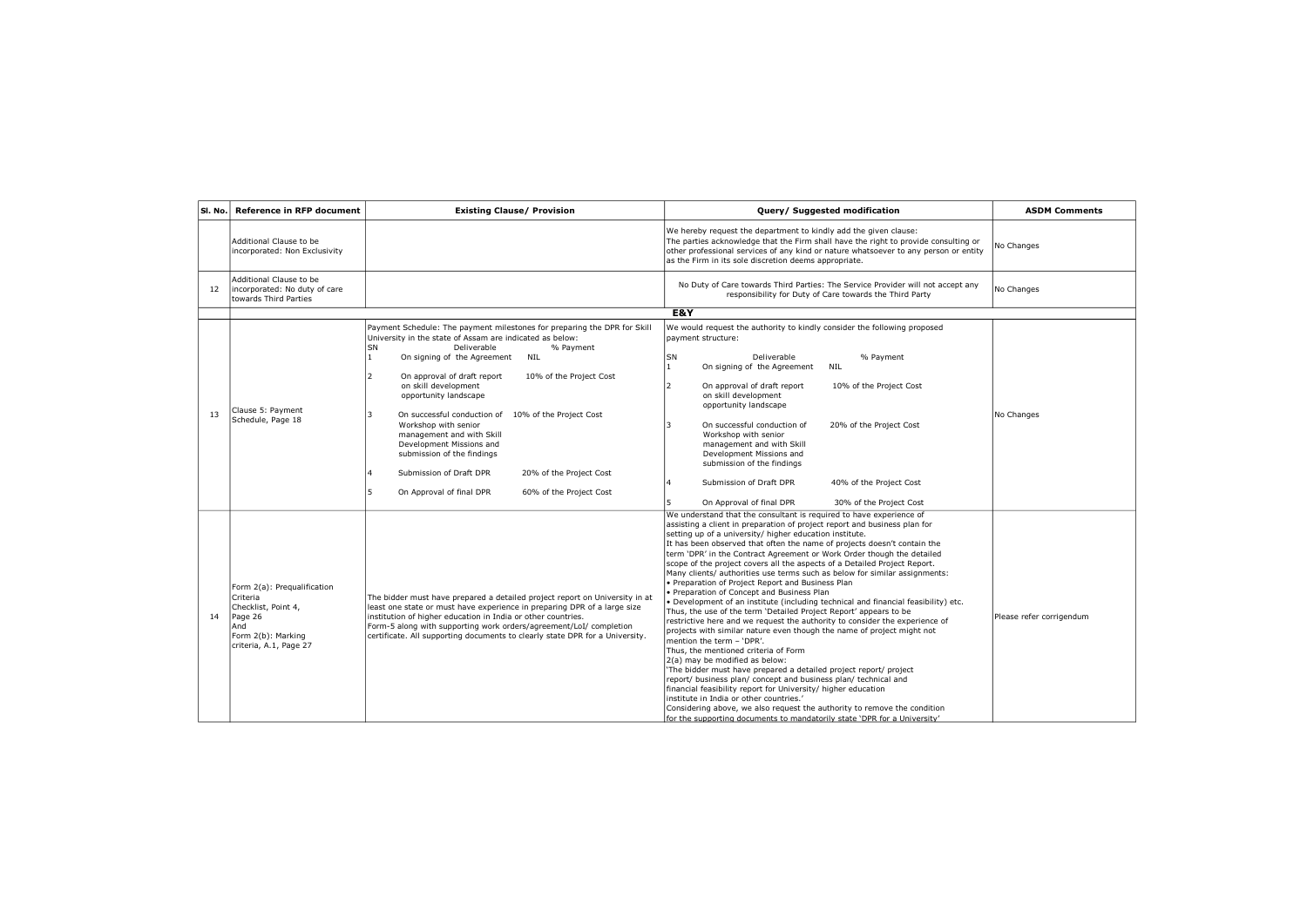| SI. No. | <b>Reference in RFP document</b>                                                                                                 | <b>Existing Clause/ Provision</b>                                                                                                                                                                                                                                                                                                                                                                                                                                                                                                                                                                                                                                  | Query/ Suggested modification                                                                                                                                                                                                                                                                                                                                                                                                                                                                                                                                                                                                                                                                                                                                                                                                                                                                                                                                                                                                                                                                                                                                                                                                                                                                                                                                                                                                                                          | <b>ASDM Comments</b>     |
|---------|----------------------------------------------------------------------------------------------------------------------------------|--------------------------------------------------------------------------------------------------------------------------------------------------------------------------------------------------------------------------------------------------------------------------------------------------------------------------------------------------------------------------------------------------------------------------------------------------------------------------------------------------------------------------------------------------------------------------------------------------------------------------------------------------------------------|------------------------------------------------------------------------------------------------------------------------------------------------------------------------------------------------------------------------------------------------------------------------------------------------------------------------------------------------------------------------------------------------------------------------------------------------------------------------------------------------------------------------------------------------------------------------------------------------------------------------------------------------------------------------------------------------------------------------------------------------------------------------------------------------------------------------------------------------------------------------------------------------------------------------------------------------------------------------------------------------------------------------------------------------------------------------------------------------------------------------------------------------------------------------------------------------------------------------------------------------------------------------------------------------------------------------------------------------------------------------------------------------------------------------------------------------------------------------|--------------------------|
|         | Additional Clause to be<br>incorporated: Non Exclusivity                                                                         |                                                                                                                                                                                                                                                                                                                                                                                                                                                                                                                                                                                                                                                                    | We hereby request the department to kindly add the given clause:<br>The parties acknowledge that the Firm shall have the right to provide consulting or<br>other professional services of any kind or nature whatsoever to any person or entity<br>as the Firm in its sole discretion deems appropriate.                                                                                                                                                                                                                                                                                                                                                                                                                                                                                                                                                                                                                                                                                                                                                                                                                                                                                                                                                                                                                                                                                                                                                               | No Changes               |
| 12      | Additional Clause to be<br>incorporated: No duty of care<br>towards Third Parties                                                |                                                                                                                                                                                                                                                                                                                                                                                                                                                                                                                                                                                                                                                                    | No Duty of Care towards Third Parties: The Service Provider will not accept any<br>responsibility for Duty of Care towards the Third Party                                                                                                                                                                                                                                                                                                                                                                                                                                                                                                                                                                                                                                                                                                                                                                                                                                                                                                                                                                                                                                                                                                                                                                                                                                                                                                                             | No Changes               |
|         |                                                                                                                                  |                                                                                                                                                                                                                                                                                                                                                                                                                                                                                                                                                                                                                                                                    | E&Y                                                                                                                                                                                                                                                                                                                                                                                                                                                                                                                                                                                                                                                                                                                                                                                                                                                                                                                                                                                                                                                                                                                                                                                                                                                                                                                                                                                                                                                                    |                          |
| 13      | Clause 5: Payment<br>Schedule, Page 18                                                                                           | Payment Schedule: The payment milestones for preparing the DPR for Skill<br>University in the state of Assam are indicated as below:<br>SN<br>Deliverable<br>% Payment<br>$\mathbf{1}$<br>On signing of the Agreement<br>NIL<br>$\overline{\phantom{a}}$<br>On approval of draft report<br>10% of the Project Cost<br>on skill development<br>opportunity landscape<br>ا ج<br>On successful conduction of 10% of the Project Cost<br>Workshop with senior<br>management and with Skill<br>Development Missions and<br>submission of the findings<br>Submission of Draft DPR<br>20% of the Project Cost<br>On Approval of final DPR<br>5<br>60% of the Project Cost | We would request the authority to kindly consider the following proposed<br>payment structure:<br>SN<br>Deliverable<br>% Payment<br>On signing of the Agreement<br>1<br>NIL<br>2<br>On approval of draft report<br>10% of the Project Cost<br>on skill development<br>opportunity landscape<br>On successful conduction of<br>20% of the Project Cost<br>3<br>Workshop with senior<br>management and with Skill<br>Development Missions and<br>submission of the findings<br>Submission of Draft DPR<br>40% of the Project Cost<br>On Approval of final DPR<br>30% of the Project Cost                                                                                                                                                                                                                                                                                                                                                                                                                                                                                                                                                                                                                                                                                                                                                                                                                                                                                 | No Changes               |
| 14      | Form 2(a): Prequalification<br>Criteria<br>Checklist, Point 4,<br>Page 26<br>And<br>Form 2(b): Marking<br>criteria, A.1, Page 27 | The bidder must have prepared a detailed project report on University in at<br>least one state or must have experience in preparing DPR of a large size<br>institution of higher education in India or other countries.<br>Form-5 along with supporting work orders/agreement/LoI/ completion<br>certificate. All supporting documents to clearly state DPR for a University.                                                                                                                                                                                                                                                                                      | We understand that the consultant is required to have experience of<br>assisting a client in preparation of project report and business plan for<br>setting up of a university/ higher education institute.<br>It has been observed that often the name of projects doesn't contain the<br>term 'DPR' in the Contract Agreement or Work Order though the detailed<br>scope of the project covers all the aspects of a Detailed Project Report.<br>Many clients/ authorities use terms such as below for similar assignments:<br>• Preparation of Project Report and Business Plan<br>• Preparation of Concept and Business Plan<br>. Development of an institute (including technical and financial feasibility) etc.<br>Thus, the use of the term 'Detailed Project Report' appears to be<br>restrictive here and we request the authority to consider the experience of<br>projects with similar nature even though the name of project might not<br>mention the term - 'DPR'.<br>Thus, the mentioned criteria of Form<br>2(a) may be modified as below:<br>'The bidder must have prepared a detailed project report/ project<br>report/ business plan/ concept and business plan/ technical and<br>financial feasibility report for University/ higher education<br>institute in India or other countries.'<br>Considering above, we also request the authority to remove the condition<br>for the supporting documents to mandatorily state 'DPR for a University' | Please refer corrigendum |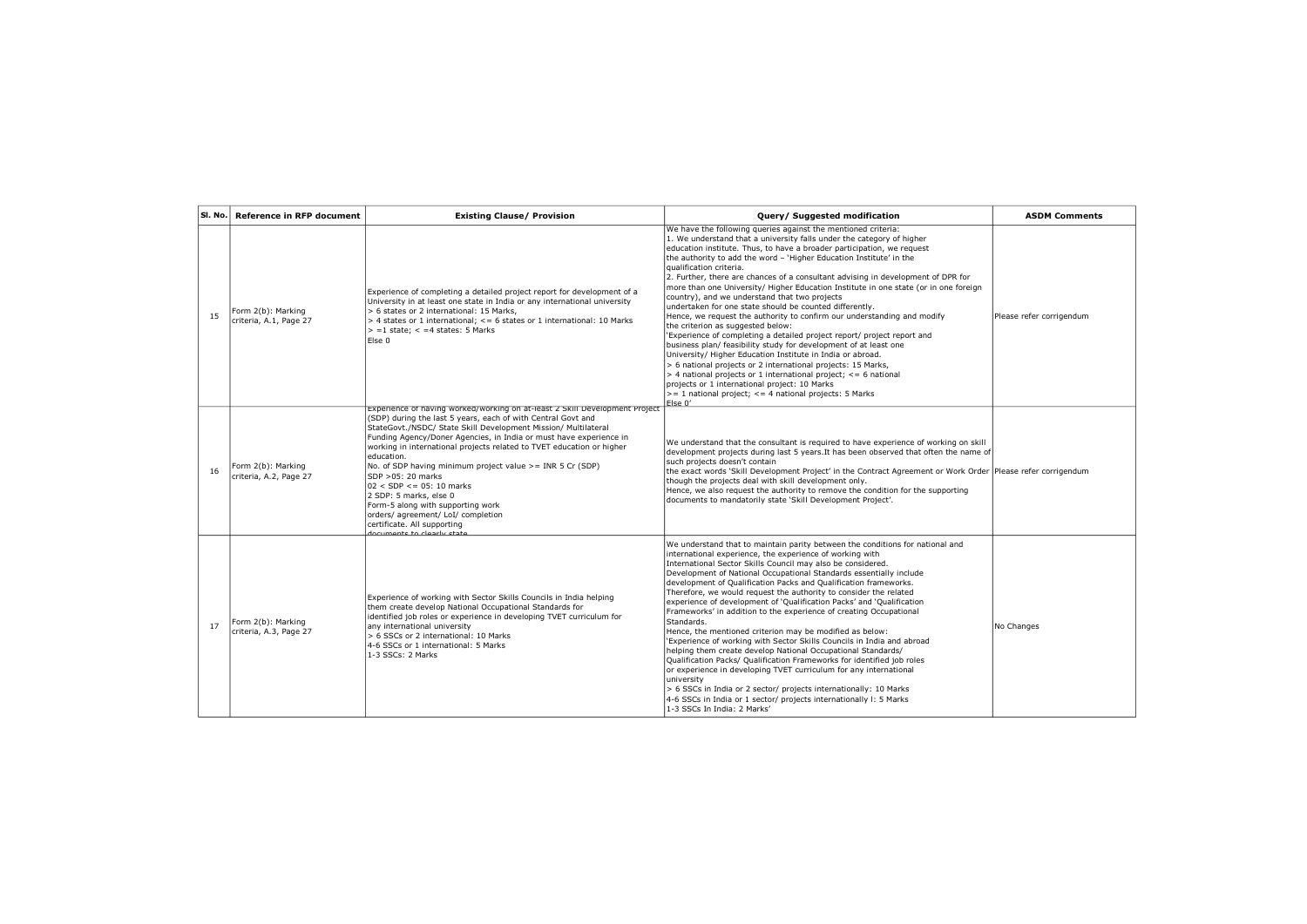| SI. No. | <b>Reference in RFP document</b>             | <b>Existing Clause/ Provision</b>                                                                                                                                                                                                                                                                                                                                                                                                                                                                                                                                                                                                                                   | Query/ Suggested modification                                                                                                                                                                                                                                                                                                                                                                                                                                                                                                                                                                                                                                                                                                                                                                                                                                                                                                                                                                                                                                                                                                                                                                                    | <b>ASDM Comments</b>     |
|---------|----------------------------------------------|---------------------------------------------------------------------------------------------------------------------------------------------------------------------------------------------------------------------------------------------------------------------------------------------------------------------------------------------------------------------------------------------------------------------------------------------------------------------------------------------------------------------------------------------------------------------------------------------------------------------------------------------------------------------|------------------------------------------------------------------------------------------------------------------------------------------------------------------------------------------------------------------------------------------------------------------------------------------------------------------------------------------------------------------------------------------------------------------------------------------------------------------------------------------------------------------------------------------------------------------------------------------------------------------------------------------------------------------------------------------------------------------------------------------------------------------------------------------------------------------------------------------------------------------------------------------------------------------------------------------------------------------------------------------------------------------------------------------------------------------------------------------------------------------------------------------------------------------------------------------------------------------|--------------------------|
| 15      | Form 2(b): Marking<br>criteria, A.1, Page 27 | Experience of completing a detailed project report for development of a<br>University in at least one state in India or any international university<br>> 6 states or 2 international: 15 Marks,<br>$>$ 4 states or 1 international; $\leq$ 6 states or 1 international: 10 Marks<br>$\vert$ > =1 state; < =4 states: 5 Marks<br>Else 0                                                                                                                                                                                                                                                                                                                             | We have the following queries against the mentioned criteria:<br>1. We understand that a university falls under the category of higher<br>education institute. Thus, to have a broader participation, we request<br>the authority to add the word - 'Higher Education Institute' in the<br>qualification criteria.<br>2. Further, there are chances of a consultant advising in development of DPR for<br>more than one University/ Higher Education Institute in one state (or in one foreign<br>country), and we understand that two projects<br>undertaken for one state should be counted differently.<br>Hence, we request the authority to confirm our understanding and modify<br>the criterion as suggested below:<br>'Experience of completing a detailed project report/ project report and<br>business plan/ feasibility study for development of at least one<br>University/ Higher Education Institute in India or abroad.<br>> 6 national projects or 2 international projects: 15 Marks,<br>$>$ 4 national projects or 1 international project; $\leq$ 6 national<br>projects or 1 international project: 10 Marks<br>$\vert$ > = 1 national project; < = 4 national projects: 5 Marks<br>Else 0' | Please refer corrigendum |
| 16      | Form 2(b): Marking<br>criteria, A.2, Page 27 | Experience or naving worked/working on at-least z Skill Development Project<br>(SDP) during the last 5 years, each of with Central Govt and<br>StateGovt./NSDC/ State Skill Development Mission/ Multilateral<br>Funding Agency/Doner Agencies, in India or must have experience in<br>working in international projects related to TVET education or higher<br>leducation.<br>No. of SDP having minimum project value >= INR 5 Cr (SDP)<br>SDP > 05:20 marks<br>$02 <$ SDP $\leq$ = 05: 10 marks<br>2 SDP: 5 marks, else 0<br>Form-5 along with supporting work<br>orders/ agreement/ LoI/ completion<br>certificate. All supporting<br>documante to clasely etste | We understand that the consultant is required to have experience of working on skill<br>development projects during last 5 years. It has been observed that often the name of<br>such projects doesn't contain<br>the exact words 'Skill Development Project' in the Contract Agreement or Work Order Please refer corrigendum<br>though the projects deal with skill development only.<br>Hence, we also request the authority to remove the condition for the supporting<br>documents to mandatorily state 'Skill Development Project'.                                                                                                                                                                                                                                                                                                                                                                                                                                                                                                                                                                                                                                                                        |                          |
| 17      | Form 2(b): Marking<br>criteria, A.3, Page 27 | Experience of working with Sector Skills Councils in India helping<br>them create develop National Occupational Standards for<br>identified job roles or experience in developing TVET curriculum for<br>any international university<br>> 6 SSCs or 2 international: 10 Marks<br>4-6 SSCs or 1 international: 5 Marks<br>1-3 SSCs: 2 Marks                                                                                                                                                                                                                                                                                                                         | We understand that to maintain parity between the conditions for national and<br>international experience, the experience of working with<br>International Sector Skills Council may also be considered.<br>Development of National Occupational Standards essentially include<br>development of Qualification Packs and Qualification frameworks.<br>Therefore, we would request the authority to consider the related<br>experience of development of 'Qualification Packs' and 'Qualification<br>Frameworks' in addition to the experience of creating Occupational<br>Standards.<br>Hence, the mentioned criterion may be modified as below:<br>'Experience of working with Sector Skills Councils in India and abroad<br>helping them create develop National Occupational Standards/<br>Qualification Packs/ Qualification Frameworks for identified job roles<br>or experience in developing TVET curriculum for any international<br>university<br>> 6 SSCs in India or 2 sector/ projects internationally: 10 Marks<br>4-6 SSCs in India or 1 sector/ projects internationally I: 5 Marks<br>1-3 SSCs In India: 2 Marks'                                                                                | No Changes               |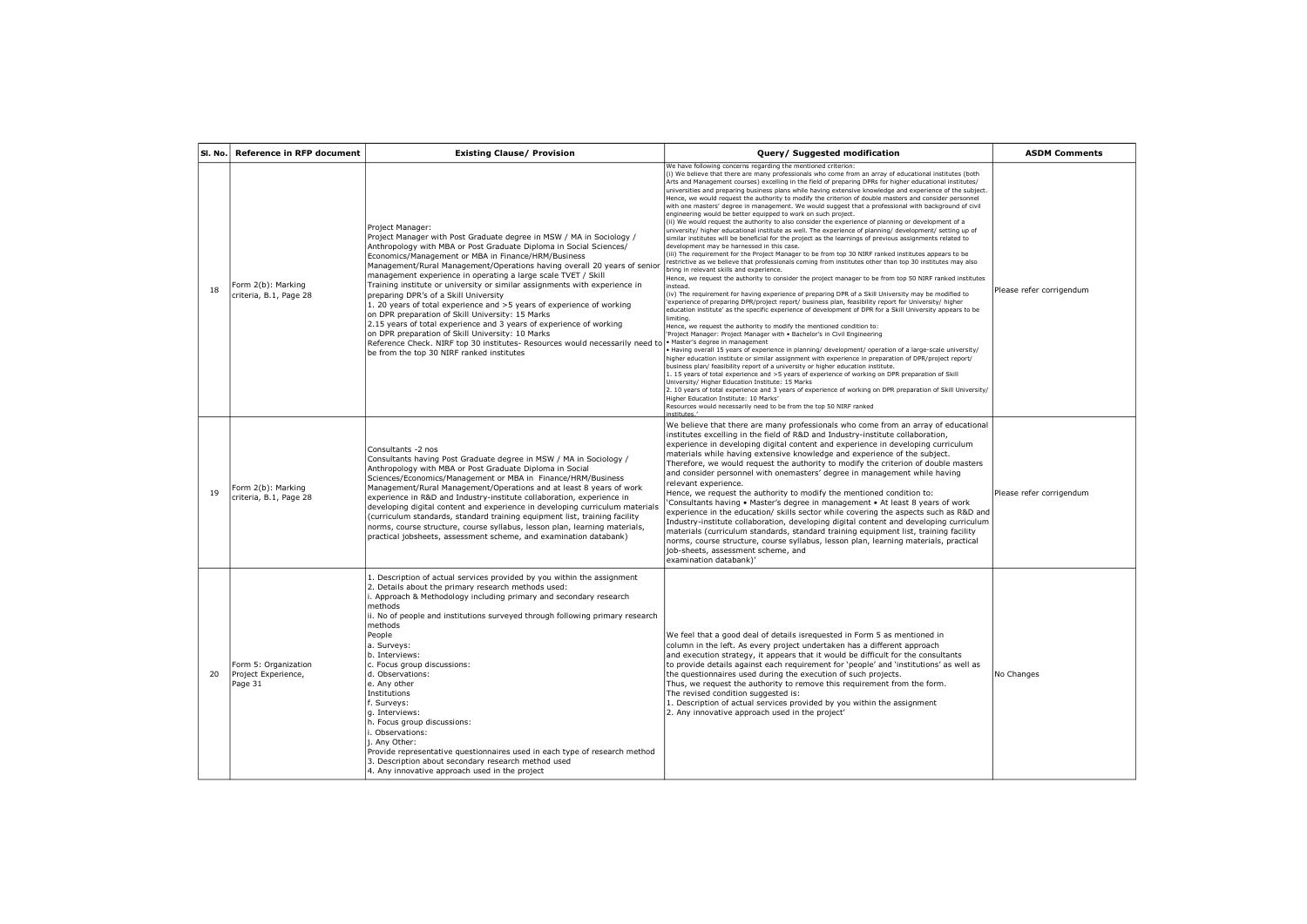| SI. No. | <b>Reference in RFP document</b>                       | <b>Existing Clause/ Provision</b>                                                                                                                                                                                                                                                                                                                                                                                                                                                                                                                                                                                                                                                                                                                                                                                                                                                                              | Query/ Suggested modification                                                                                                                                                                                                                                                                                                                                                                                                                                                                                                                                                                                                                                                                                                                                                                                                                                                                                                                                                                                                                                                                                                                                                                                                                                                                                                                                                                                                                                                                                                                                                                                                                                                                                                                                                                                                                                                                                                                                                                                                                                                                                                                                                                                                                                                                                                                                                                                                                                                                                                                                                                                                                                                 | <b>ASDM Comments</b>     |
|---------|--------------------------------------------------------|----------------------------------------------------------------------------------------------------------------------------------------------------------------------------------------------------------------------------------------------------------------------------------------------------------------------------------------------------------------------------------------------------------------------------------------------------------------------------------------------------------------------------------------------------------------------------------------------------------------------------------------------------------------------------------------------------------------------------------------------------------------------------------------------------------------------------------------------------------------------------------------------------------------|-------------------------------------------------------------------------------------------------------------------------------------------------------------------------------------------------------------------------------------------------------------------------------------------------------------------------------------------------------------------------------------------------------------------------------------------------------------------------------------------------------------------------------------------------------------------------------------------------------------------------------------------------------------------------------------------------------------------------------------------------------------------------------------------------------------------------------------------------------------------------------------------------------------------------------------------------------------------------------------------------------------------------------------------------------------------------------------------------------------------------------------------------------------------------------------------------------------------------------------------------------------------------------------------------------------------------------------------------------------------------------------------------------------------------------------------------------------------------------------------------------------------------------------------------------------------------------------------------------------------------------------------------------------------------------------------------------------------------------------------------------------------------------------------------------------------------------------------------------------------------------------------------------------------------------------------------------------------------------------------------------------------------------------------------------------------------------------------------------------------------------------------------------------------------------------------------------------------------------------------------------------------------------------------------------------------------------------------------------------------------------------------------------------------------------------------------------------------------------------------------------------------------------------------------------------------------------------------------------------------------------------------------------------------------------|--------------------------|
| 18      | Form 2(b): Marking<br>criteria, B.1, Page 28           | Project Manager:<br>Project Manager with Post Graduate degree in MSW / MA in Sociology /<br>Anthropology with MBA or Post Graduate Diploma in Social Sciences/<br>Economics/Management or MBA in Finance/HRM/Business<br>Management/Rural Management/Operations having overall 20 years of senior<br>management experience in operating a large scale TVET / Skill<br>Training institute or university or similar assignments with experience in<br>preparing DPR's of a Skill University<br>1. 20 years of total experience and >5 years of experience of working<br>on DPR preparation of Skill University: 15 Marks<br>2.15 years of total experience and 3 years of experience of working<br>on DPR preparation of Skill University: 10 Marks<br>Reference Check. NIRF top 30 institutes- Resources would necessarily need to . Master's degree in management<br>be from the top 30 NIRF ranked institutes | We have following concerns regarding the mentioned criterion:<br>(i) We believe that there are many professionals who come from an array of educational institutes (both<br>Arts and Management courses) excelling in the field of preparing DPRs for higher educational institutes/<br>universities and preparing business plans while having extensive knowledge and experience of the subject.<br>Hence, we would request the authority to modify the criterion of double masters and consider personnel<br>with one masters' degree in management. We would suggest that a professional with background of civil<br>engineering would be better equipped to work on such project.<br>(ii) We would request the authority to also consider the experience of planning or development of a<br>university/ higher educational institute as well. The experience of planning/ development/ setting up of<br>similar institutes will be beneficial for the project as the learnings of previous assignments related to<br>development may be harnessed in this case.<br>(iii) The requirement for the Project Manager to be from top 30 NIRF ranked institutes appears to be<br>restrictive as we believe that professionals coming from institutes other than top 30 institutes may also<br>bring in relevant skills and experience.<br>Hence, we request the authority to consider the project manager to be from top 50 NIRF ranked institutes<br>instead.<br>(iv) The requirement for having experience of preparing DPR of a Skill University may be modified to<br>'experience of preparing DPR/project report/ business plan, feasibility report for University/ higher<br>education institute' as the specific experience of development of DPR for a Skill University appears to be<br>limiting.<br>Hence, we request the authority to modify the mentioned condition to:<br>'Project Manager: Project Manager with . Bachelor's in Civil Engineering<br>Having overall 15 years of experience in planning/ development/ operation of a large-scale university/<br>higher education institute or similar assignment with experience in preparation of DPR/project report/<br>business plan/ feasibility report of a university or higher education institute.<br>1. 15 years of total experience and >5 years of experience of working on DPR preparation of Skill<br>University/ Higher Education Institute: 15 Marks<br>2. 10 years of total experience and 3 years of experience of working on DPR preparation of Skill University/<br>Higher Education Institute: 10 Marks'<br>Resources would necessarily need to be from the top 50 NIRF ranked<br>institutes.' | Please refer corrigendum |
| 19      | Form 2(b): Marking<br>criteria, B.1, Page 28           | Consultants -2 nos<br>Consultants having Post Graduate degree in MSW / MA in Sociology /<br>Anthropology with MBA or Post Graduate Diploma in Social<br>Sciences/Economics/Management or MBA in Finance/HRM/Business<br>Management/Rural Management/Operations and at least 8 years of work<br>experience in R&D and Industry-institute collaboration, experience in<br>developing digital content and experience in developing curriculum materials<br>(curriculum standards, standard training equipment list, training facility<br>norms, course structure, course syllabus, lesson plan, learning materials,<br>practical jobsheets, assessment scheme, and examination databank)                                                                                                                                                                                                                          | We believe that there are many professionals who come from an array of educational<br>institutes excelling in the field of R&D and Industry-institute collaboration,<br>experience in developing digital content and experience in developing curriculum<br>materials while having extensive knowledge and experience of the subject.<br>Therefore, we would request the authority to modify the criterion of double masters<br>and consider personnel with onemasters' degree in management while having<br>relevant experience.<br>Hence, we request the authority to modify the mentioned condition to:<br>'Consultants having • Master's degree in management • At least 8 years of work<br>experience in the education/ skills sector while covering the aspects such as R&D and<br>Industry-institute collaboration, developing digital content and developing curriculum<br>materials (curriculum standards, standard training equipment list, training facility<br>norms, course structure, course syllabus, lesson plan, learning materials, practical<br>job-sheets, assessment scheme, and<br>examination databank)'                                                                                                                                                                                                                                                                                                                                                                                                                                                                                                                                                                                                                                                                                                                                                                                                                                                                                                                                                                                                                                                                                                                                                                                                                                                                                                                                                                                                                                                                                                                                               | Please refer corrigendum |
| 20      | Form 5: Organization<br>Project Experience,<br>Page 31 | 1. Description of actual services provided by you within the assignment<br>2. Details about the primary research methods used:<br>. Approach & Methodology including primary and secondary research<br>methods<br>ii. No of people and institutions surveyed through following primary research<br>methods<br>People<br>a. Surveys:<br>b. Interviews:<br>c. Focus group discussions:<br>d. Observations:<br>e. Any other<br>Institutions<br>f. Surveys:<br>q. Interviews:<br>h. Focus group discussions:<br>. Observations:<br>j. Any Other:<br>Provide representative questionnaires used in each type of research method<br>3. Description about secondary research method used<br>4. Any innovative approach used in the project                                                                                                                                                                            | We feel that a good deal of details isrequested in Form 5 as mentioned in<br>column in the left. As every project undertaken has a different approach<br>and execution strategy, it appears that it would be difficult for the consultants<br>to provide details against each requirement for 'people' and 'institutions' as well as<br>the questionnaires used during the execution of such projects.<br>Thus, we request the authority to remove this requirement from the form.<br>The revised condition suggested is:<br>1. Description of actual services provided by you within the assignment<br>2. Any innovative approach used in the project'                                                                                                                                                                                                                                                                                                                                                                                                                                                                                                                                                                                                                                                                                                                                                                                                                                                                                                                                                                                                                                                                                                                                                                                                                                                                                                                                                                                                                                                                                                                                                                                                                                                                                                                                                                                                                                                                                                                                                                                                                       | No Changes               |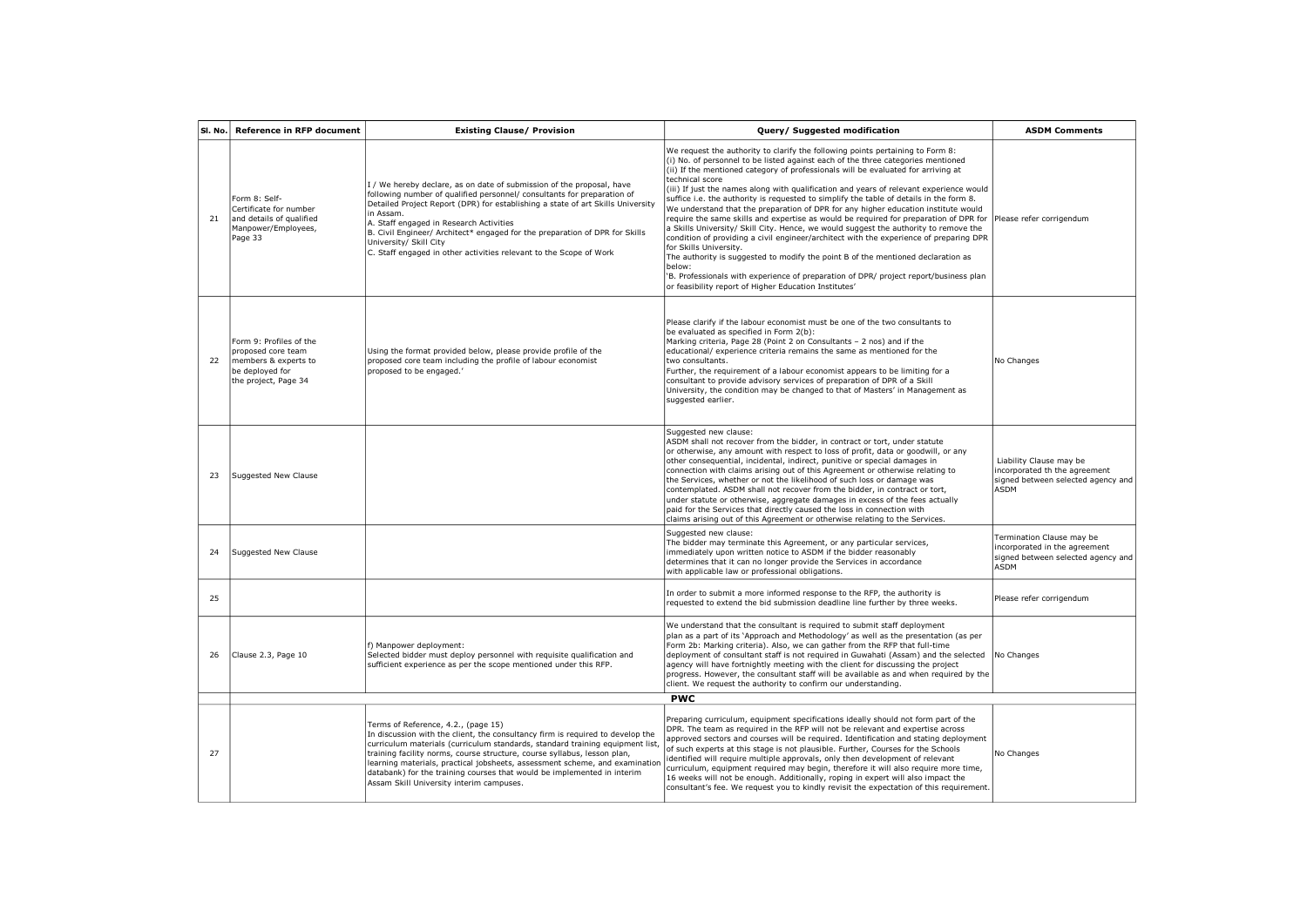| SI. No. | <b>Reference in RFP document</b>                                                                                 | <b>Existing Clause/ Provision</b>                                                                                                                                                                                                                                                                                                                                                                                                                                                        | Query/ Suggested modification                                                                                                                                                                                                                                                                                                                                                                                                                                                                                                                                                                                                                                                                                                                                                                                                                                                                                                                                                                                                                                                                               | <b>ASDM Comments</b>                                                                                            |
|---------|------------------------------------------------------------------------------------------------------------------|------------------------------------------------------------------------------------------------------------------------------------------------------------------------------------------------------------------------------------------------------------------------------------------------------------------------------------------------------------------------------------------------------------------------------------------------------------------------------------------|-------------------------------------------------------------------------------------------------------------------------------------------------------------------------------------------------------------------------------------------------------------------------------------------------------------------------------------------------------------------------------------------------------------------------------------------------------------------------------------------------------------------------------------------------------------------------------------------------------------------------------------------------------------------------------------------------------------------------------------------------------------------------------------------------------------------------------------------------------------------------------------------------------------------------------------------------------------------------------------------------------------------------------------------------------------------------------------------------------------|-----------------------------------------------------------------------------------------------------------------|
| 21      | Form 8: Self-<br>Certificate for number<br>and details of qualified<br>Manpower/Employees,<br>Page 33            | I / We hereby declare, as on date of submission of the proposal, have<br>following number of qualified personnel/ consultants for preparation of<br>Detailed Project Report (DPR) for establishing a state of art Skills University<br>in Assam.<br>A. Staff engaged in Research Activities<br>B. Civil Engineer/ Architect* engaged for the preparation of DPR for Skills<br>University/ Skill City<br>C. Staff engaged in other activities relevant to the Scope of Work               | We request the authority to clarify the following points pertaining to Form 8:<br>(i) No. of personnel to be listed against each of the three categories mentioned<br>(ii) If the mentioned category of professionals will be evaluated for arriving at<br>technical score<br>(iii) If just the names along with qualification and years of relevant experience would<br>suffice i.e. the authority is requested to simplify the table of details in the form 8.<br>We understand that the preparation of DPR for any higher education institute would<br>require the same skills and expertise as would be required for preparation of DPR for<br>a Skills University/ Skill City. Hence, we would suggest the authority to remove the<br>condition of providing a civil engineer/architect with the experience of preparing DPR<br>for Skills University.<br>The authority is suggested to modify the point B of the mentioned declaration as<br>below:<br>'B. Professionals with experience of preparation of DPR/ project report/business plan<br>or feasibility report of Higher Education Institutes' | Please refer corrigendum                                                                                        |
| 22      | Form 9: Profiles of the<br>proposed core team<br>members & experts to<br>be deployed for<br>the project, Page 34 | Using the format provided below, please provide profile of the<br>proposed core team including the profile of labour economist<br>proposed to be engaged.'                                                                                                                                                                                                                                                                                                                               | Please clarify if the labour economist must be one of the two consultants to<br>be evaluated as specified in Form 2(b):<br>Marking criteria, Page 28 (Point 2 on Consultants - 2 nos) and if the<br>educational/ experience criteria remains the same as mentioned for the<br>two consultants.<br>Further, the requirement of a labour economist appears to be limiting for a<br>consultant to provide advisory services of preparation of DPR of a Skill<br>University, the condition may be changed to that of Masters' in Management as<br>suggested earlier.                                                                                                                                                                                                                                                                                                                                                                                                                                                                                                                                            | No Changes                                                                                                      |
| 23      | Suggested New Clause                                                                                             |                                                                                                                                                                                                                                                                                                                                                                                                                                                                                          | Suggested new clause:<br>ASDM shall not recover from the bidder, in contract or tort, under statute<br>or otherwise, any amount with respect to loss of profit, data or goodwill, or any<br>other consequential, incidental, indirect, punitive or special damages in<br>connection with claims arising out of this Agreement or otherwise relating to<br>the Services, whether or not the likelihood of such loss or damage was<br>contemplated. ASDM shall not recover from the bidder, in contract or tort,<br>under statute or otherwise, aggregate damages in excess of the fees actually<br>paid for the Services that directly caused the loss in connection with<br>claims arising out of this Agreement or otherwise relating to the Services.                                                                                                                                                                                                                                                                                                                                                     | Liability Clause may be<br>incorporated th the agreement<br>signed between selected agency and<br>ASDM          |
| 24      | Suggested New Clause                                                                                             |                                                                                                                                                                                                                                                                                                                                                                                                                                                                                          | Suggested new clause:<br>The bidder may terminate this Agreement, or any particular services,<br>immediately upon written notice to ASDM if the bidder reasonably<br>determines that it can no longer provide the Services in accordance<br>with applicable law or professional obligations.                                                                                                                                                                                                                                                                                                                                                                                                                                                                                                                                                                                                                                                                                                                                                                                                                | Termination Clause may be<br>incorporated in the agreement<br>signed between selected agency and<br><b>ASDM</b> |
| 25      |                                                                                                                  |                                                                                                                                                                                                                                                                                                                                                                                                                                                                                          | In order to submit a more informed response to the RFP, the authority is<br>requested to extend the bid submission deadline line further by three weeks.                                                                                                                                                                                                                                                                                                                                                                                                                                                                                                                                                                                                                                                                                                                                                                                                                                                                                                                                                    | Please refer corrigendum                                                                                        |
| 26      | Clause 2.3, Page 10                                                                                              | f) Manpower deployment:<br>Selected bidder must deploy personnel with requisite qualification and<br>sufficient experience as per the scope mentioned under this RFP.                                                                                                                                                                                                                                                                                                                    | We understand that the consultant is required to submit staff deployment<br>plan as a part of its 'Approach and Methodology' as well as the presentation (as per<br>Form 2b: Marking criteria). Also, we can gather from the RFP that full-time<br>deployment of consultant staff is not required in Guwahati (Assam) and the selected<br>agency will have fortnightly meeting with the client for discussing the project<br>progress. However, the consultant staff will be available as and when required by the<br>client. We request the authority to confirm our understanding.                                                                                                                                                                                                                                                                                                                                                                                                                                                                                                                        | No Changes                                                                                                      |
|         |                                                                                                                  |                                                                                                                                                                                                                                                                                                                                                                                                                                                                                          | <b>PWC</b>                                                                                                                                                                                                                                                                                                                                                                                                                                                                                                                                                                                                                                                                                                                                                                                                                                                                                                                                                                                                                                                                                                  |                                                                                                                 |
| 27      |                                                                                                                  | Terms of Reference, 4.2., (page 15)<br>In discussion with the client, the consultancy firm is required to develop the<br>curriculum materials (curriculum standards, standard training equipment list,<br>training facility norms, course structure, course syllabus, lesson plan,<br>learning materials, practical jobsheets, assessment scheme, and examination<br>databank) for the training courses that would be implemented in interim<br>Assam Skill University interim campuses. | Preparing curriculum, equipment specifications ideally should not form part of the<br>DPR. The team as required in the RFP will not be relevant and expertise across<br>approved sectors and courses will be required. Identification and stating deployment<br>of such experts at this stage is not plausible. Further, Courses for the Schools<br>identified will require multiple approvals, only then development of relevant<br>curriculum, equipment required may begin, therefore it will also require more time,<br>16 weeks will not be enough. Additionally, roping in expert will also impact the<br>consultant's fee. We request you to kindly revisit the expectation of this requirement.                                                                                                                                                                                                                                                                                                                                                                                                     | No Changes                                                                                                      |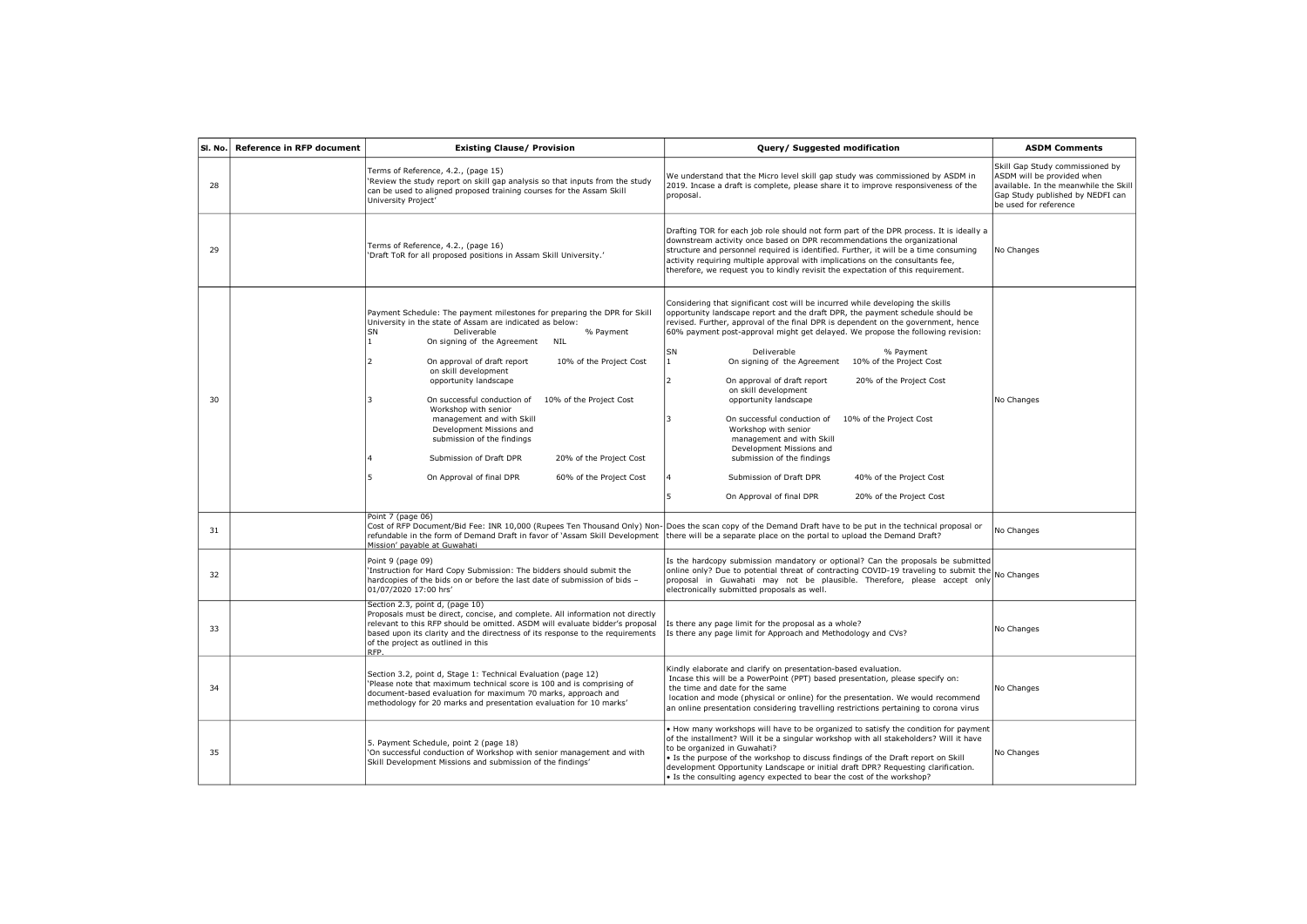| SI. No. | <b>Reference in RFP document</b> | <b>Existing Clause/ Provision</b>                                                                                                                                                                                                                                                                                                                                                                                                                                                                                                                                                                                                                     | Query/ Suggested modification                                                                                                                                                                                                                                                                                                                                                                                                                                                                                                                                                                                                                                                                                                                                                                                                                                   | <b>ASDM Comments</b>                                                                                                                                                |
|---------|----------------------------------|-------------------------------------------------------------------------------------------------------------------------------------------------------------------------------------------------------------------------------------------------------------------------------------------------------------------------------------------------------------------------------------------------------------------------------------------------------------------------------------------------------------------------------------------------------------------------------------------------------------------------------------------------------|-----------------------------------------------------------------------------------------------------------------------------------------------------------------------------------------------------------------------------------------------------------------------------------------------------------------------------------------------------------------------------------------------------------------------------------------------------------------------------------------------------------------------------------------------------------------------------------------------------------------------------------------------------------------------------------------------------------------------------------------------------------------------------------------------------------------------------------------------------------------|---------------------------------------------------------------------------------------------------------------------------------------------------------------------|
| 28      |                                  | Terms of Reference, 4.2., (page 15)<br>'Review the study report on skill gap analysis so that inputs from the study<br>can be used to aligned proposed training courses for the Assam Skill<br>University Project'                                                                                                                                                                                                                                                                                                                                                                                                                                    | We understand that the Micro level skill gap study was commissioned by ASDM in<br>2019. Incase a draft is complete, please share it to improve responsiveness of the<br>proposal.                                                                                                                                                                                                                                                                                                                                                                                                                                                                                                                                                                                                                                                                               | Skill Gap Study commissioned by<br>ASDM will be provided when<br>available. In the meanwhile the Skill<br>Gap Study published by NEDFI can<br>be used for reference |
| 29      |                                  | Terms of Reference, 4.2., (page 16)<br>'Draft ToR for all proposed positions in Assam Skill University.'                                                                                                                                                                                                                                                                                                                                                                                                                                                                                                                                              | Drafting TOR for each job role should not form part of the DPR process. It is ideally a<br>downstream activity once based on DPR recommendations the organizational<br>structure and personnel required is identified. Further, it will be a time consuming<br>activity requiring multiple approval with implications on the consultants fee,<br>therefore, we request you to kindly revisit the expectation of this requirement.                                                                                                                                                                                                                                                                                                                                                                                                                               | No Changes                                                                                                                                                          |
| 30      |                                  | Payment Schedule: The payment milestones for preparing the DPR for Skill<br>University in the state of Assam are indicated as below:<br>SN<br>Deliverable<br>% Payment<br>On signing of the Agreement<br>$\mathbf{1}$<br><b>NIL</b><br>On approval of draft report<br>10% of the Project Cost<br>$\mathcal{P}$<br>on skill development<br>opportunity landscape<br>On successful conduction of<br>10% of the Project Cost<br>Workshop with senior<br>management and with Skill<br>Development Missions and<br>submission of the findings<br>Submission of Draft DPR<br>20% of the Project Cost<br>On Approval of final DPR<br>60% of the Project Cost | Considering that significant cost will be incurred while developing the skills<br>opportunity landscape report and the draft DPR, the payment schedule should be<br>revised. Further, approval of the final DPR is dependent on the government, hence<br>60% payment post-approval might get delayed. We propose the following revision:<br><b>SN</b><br>Deliverable<br>% Payment<br>1<br>On signing of the Agreement 10% of the Project Cost<br>2<br>20% of the Project Cost<br>On approval of draft report<br>on skill development<br>opportunity landscape<br>١R<br>On successful conduction of<br>10% of the Project Cost<br>Workshop with senior<br>management and with Skill<br>Development Missions and<br>submission of the findings<br>Submission of Draft DPR<br>40% of the Project Cost<br>15<br>On Approval of final DPR<br>20% of the Project Cost | No Changes                                                                                                                                                          |
| 31      |                                  | Point 7 (page 06)<br>refundable in the form of Demand Draft in favor of 'Assam Skill Development there will be a separate place on the portal to upload the Demand Draft?<br>Mission' pavable at Guwahati                                                                                                                                                                                                                                                                                                                                                                                                                                             | Cost of RFP Document/Bid Fee: INR 10,000 (Rupees Ten Thousand Only) Non- Does the scan copy of the Demand Draft have to be put in the technical proposal or                                                                                                                                                                                                                                                                                                                                                                                                                                                                                                                                                                                                                                                                                                     | No Changes                                                                                                                                                          |
| 32      |                                  | Point 9 (page 09)<br>'Instruction for Hard Copy Submission: The bidders should submit the<br>hardcopies of the bids on or before the last date of submission of bids -<br>01/07/2020 17:00 hrs'                                                                                                                                                                                                                                                                                                                                                                                                                                                       | Is the hardcopy submission mandatory or optional? Can the proposals be submitted<br>online only? Due to potential threat of contracting COVID-19 traveling to submit the No Changes<br>proposal in Guwahati may not be plausible. Therefore, please accept only<br>electronically submitted proposals as well.                                                                                                                                                                                                                                                                                                                                                                                                                                                                                                                                                  |                                                                                                                                                                     |
| 33      |                                  | Section 2.3, point d, (page 10)<br>Proposals must be direct, concise, and complete. All information not directly<br>relevant to this RFP should be omitted. ASDM will evaluate bidder's proposal<br>based upon its clarity and the directness of its response to the requirements<br>of the project as outlined in this<br>RFP.                                                                                                                                                                                                                                                                                                                       | Is there any page limit for the proposal as a whole?<br>Is there any page limit for Approach and Methodology and CVs?                                                                                                                                                                                                                                                                                                                                                                                                                                                                                                                                                                                                                                                                                                                                           | No Changes                                                                                                                                                          |
| 34      |                                  | Section 3.2, point d, Stage 1: Technical Evaluation (page 12)<br>'Please note that maximum technical score is 100 and is comprising of<br>document-based evaluation for maximum 70 marks, approach and<br>methodology for 20 marks and presentation evaluation for 10 marks'                                                                                                                                                                                                                                                                                                                                                                          | Kindly elaborate and clarify on presentation-based evaluation.<br>Incase this will be a PowerPoint (PPT) based presentation, please specify on:<br>the time and date for the same<br>location and mode (physical or online) for the presentation. We would recommend<br>an online presentation considering travelling restrictions pertaining to corona virus                                                                                                                                                                                                                                                                                                                                                                                                                                                                                                   | No Changes                                                                                                                                                          |
| 35      |                                  | 5. Payment Schedule, point 2 (page 18)<br>'On successful conduction of Workshop with senior management and with<br>Skill Development Missions and submission of the findings'                                                                                                                                                                                                                                                                                                                                                                                                                                                                         | How many workshops will have to be organized to satisfy the condition for payment<br>of the installment? Will it be a singular workshop with all stakeholders? Will it have<br>to be organized in Guwahati?<br>Is the purpose of the workshop to discuss findings of the Draft report on Skill<br>development Opportunity Landscape or initial draft DPR? Requesting clarification.<br>. Is the consulting agency expected to bear the cost of the workshop?                                                                                                                                                                                                                                                                                                                                                                                                    | No Changes                                                                                                                                                          |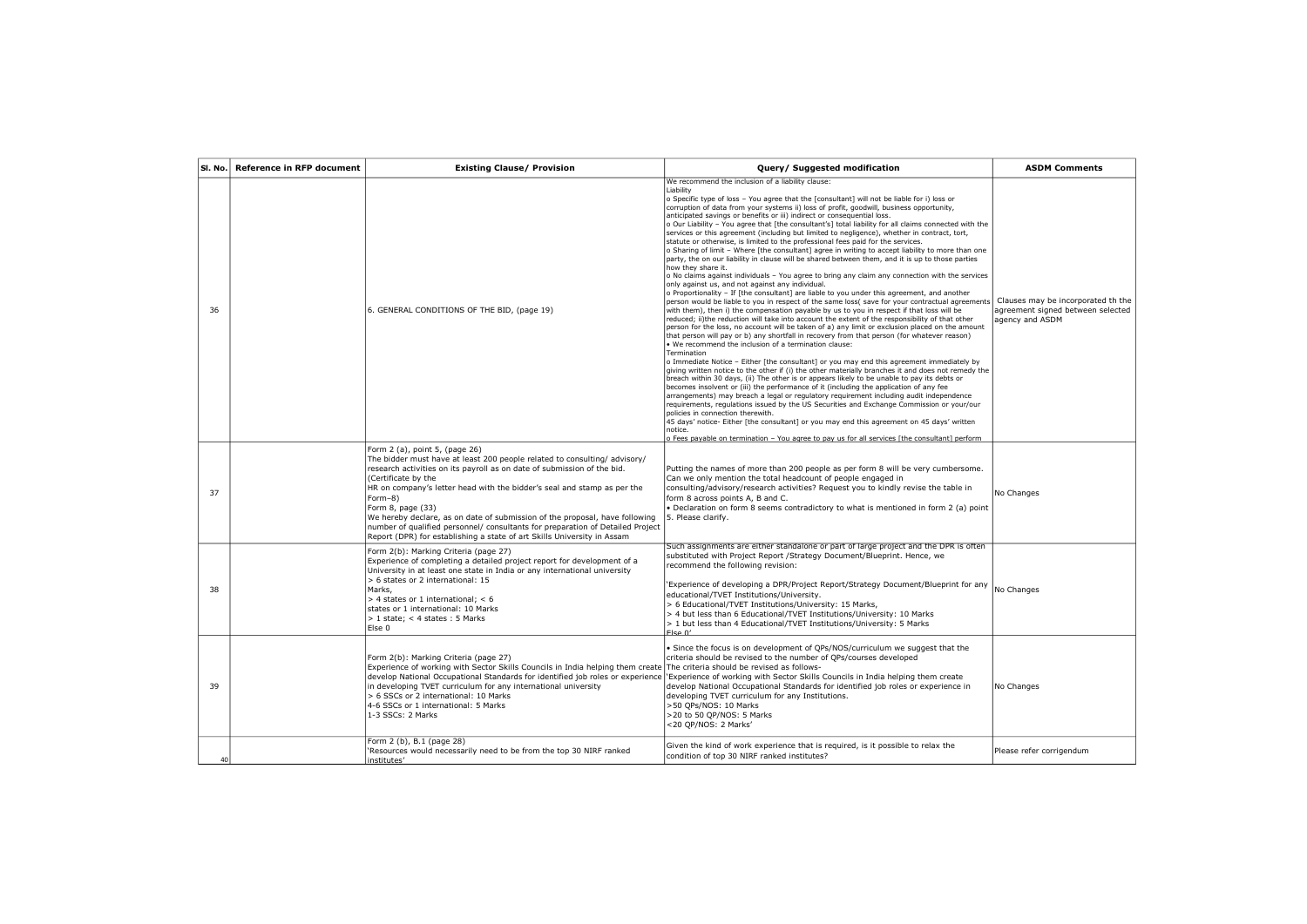|    | SI. No. Reference in RFP document | <b>Existing Clause/ Provision</b>                                                                                                                                                                                                                                                                                                                                                                                                                                                                                                                                   | Query/ Suggested modification                                                                                                                                                                                                                                                                                                                                                                                                                                                                                                                                                                                                                                                                                                                                                                                                                                                                                                                                                                                                                                                                                                                                                                                                                                                                                                                                                                                                                                                                                                                                                                                                                                                                                                                                                                                                                                                                                                                                                                                                                                                                                                                                                                                                                                                                                                                                                                                                                                                                                                          | <b>ASDM Comments</b>                                                                       |
|----|-----------------------------------|---------------------------------------------------------------------------------------------------------------------------------------------------------------------------------------------------------------------------------------------------------------------------------------------------------------------------------------------------------------------------------------------------------------------------------------------------------------------------------------------------------------------------------------------------------------------|----------------------------------------------------------------------------------------------------------------------------------------------------------------------------------------------------------------------------------------------------------------------------------------------------------------------------------------------------------------------------------------------------------------------------------------------------------------------------------------------------------------------------------------------------------------------------------------------------------------------------------------------------------------------------------------------------------------------------------------------------------------------------------------------------------------------------------------------------------------------------------------------------------------------------------------------------------------------------------------------------------------------------------------------------------------------------------------------------------------------------------------------------------------------------------------------------------------------------------------------------------------------------------------------------------------------------------------------------------------------------------------------------------------------------------------------------------------------------------------------------------------------------------------------------------------------------------------------------------------------------------------------------------------------------------------------------------------------------------------------------------------------------------------------------------------------------------------------------------------------------------------------------------------------------------------------------------------------------------------------------------------------------------------------------------------------------------------------------------------------------------------------------------------------------------------------------------------------------------------------------------------------------------------------------------------------------------------------------------------------------------------------------------------------------------------------------------------------------------------------------------------------------------------|--------------------------------------------------------------------------------------------|
| 36 |                                   | 6. GENERAL CONDITIONS OF THE BID, (page 19)                                                                                                                                                                                                                                                                                                                                                                                                                                                                                                                         | We recommend the inclusion of a liability clause:<br>Liability<br>o Specific type of loss - You agree that the [consultant] will not be liable for i) loss or<br>corruption of data from your systems ii) loss of profit, goodwill, business opportunity,<br>anticipated savings or benefits or iii) indirect or consequential loss.<br>o Our Liability - You agree that [the consultant's] total liability for all claims connected with the<br>services or this agreement (including but limited to negligence), whether in contract, tort,<br>statute or otherwise, is limited to the professional fees paid for the services.<br>o Sharing of limit - Where [the consultant] agree in writing to accept liability to more than one<br>party, the on our liability in clause will be shared between them, and it is up to those parties<br>how they share it.<br>o No claims against individuals - You agree to bring any claim any connection with the services<br>only against us, and not against any individual.<br>o Proportionality - If [the consultant] are liable to you under this agreement, and another<br>person would be liable to you in respect of the same loss( save for your contractual agreements<br>with them), then i) the compensation payable by us to you in respect if that loss will be<br>reduced; ii)the reduction will take into account the extent of the responsibility of that other<br>person for the loss, no account will be taken of a) any limit or exclusion placed on the amount<br>that person will pay or b) any shortfall in recovery from that person (for whatever reason)<br>. We recommend the inclusion of a termination clause:<br>Termination<br>o Immediate Notice - Either [the consultant] or you may end this agreement immediately by<br>giving written notice to the other if (i) the other materially branches it and does not remedy the<br>breach within 30 days, (ii) The other is or appears likely to be unable to pay its debts or<br>becomes insolvent or (iii) the performance of it (including the application of any fee<br>arrangements) may breach a legal or regulatory reguirement including audit independence<br>requirements, requlations issued by the US Securities and Exchange Commission or your/our<br>policies in connection therewith.<br>45 days' notice- Either [the consultant] or you may end this agreement on 45 days' written<br>notice.<br>o Fees payable on termination - You agree to pay us for all services [the consultant] perform | Clauses may be incorporated th the<br>agreement signed between selected<br>agency and ASDM |
| 37 |                                   | Form 2 (a), point 5, (page 26)<br>The bidder must have at least 200 people related to consulting/advisory/<br>research activities on its payroll as on date of submission of the bid.<br>(Certificate by the<br>HR on company's letter head with the bidder's seal and stamp as per the<br>Form-8)<br>Form 8, page (33)<br>We hereby declare, as on date of submission of the proposal, have following<br>number of qualified personnel/ consultants for preparation of Detailed Project<br>Report (DPR) for establishing a state of art Skills University in Assam | Putting the names of more than 200 people as per form 8 will be very cumbersome.<br>Can we only mention the total headcount of people engaged in<br>consulting/advisory/research activities? Request you to kindly revise the table in<br>form 8 across points A, B and C.<br>. Declaration on form 8 seems contradictory to what is mentioned in form 2 (a) point<br>5. Please clarify.                                                                                                                                                                                                                                                                                                                                                                                                                                                                                                                                                                                                                                                                                                                                                                                                                                                                                                                                                                                                                                                                                                                                                                                                                                                                                                                                                                                                                                                                                                                                                                                                                                                                                                                                                                                                                                                                                                                                                                                                                                                                                                                                               | No Changes                                                                                 |
| 38 |                                   | Form 2(b): Marking Criteria (page 27)<br>Experience of completing a detailed project report for development of a<br>University in at least one state in India or any international university<br>> 6 states or 2 international: 15<br>Marks.<br>$>$ 4 states or 1 international: $<$ 6<br>states or 1 international: 10 Marks<br>$> 1$ state: < 4 states: 5 Marks<br>Else 0                                                                                                                                                                                         | Such assignments are either standalone or part of large project and the DPR is often<br>substituted with Project Report /Strategy Document/Blueprint. Hence, we<br>recommend the following revision:<br>'Experience of developing a DPR/Project Report/Strategy Document/Blueprint for any<br>educational/TVET Institutions/University.<br>> 6 Educational/TVET Institutions/University: 15 Marks,<br>> 4 but less than 6 Educational/TVET Institutions/University: 10 Marks<br>> 1 but less than 4 Educational/TVET Institutions/University: 5 Marks<br>$F$ lco $\Lambda'$                                                                                                                                                                                                                                                                                                                                                                                                                                                                                                                                                                                                                                                                                                                                                                                                                                                                                                                                                                                                                                                                                                                                                                                                                                                                                                                                                                                                                                                                                                                                                                                                                                                                                                                                                                                                                                                                                                                                                            | No Changes                                                                                 |
| 39 |                                   | Form 2(b): Marking Criteria (page 27)<br>Experience of working with Sector Skills Councils in India helping them create The criteria should be revised as follows-<br>develop National Occupational Standards for identified job roles or experience<br>in developing TVET curriculum for any international university<br>> 6 SSCs or 2 international: 10 Marks<br>4-6 SSCs or 1 international: 5 Marks<br>1-3 SSCs: 2 Marks                                                                                                                                        | . Since the focus is on development of QPs/NOS/curriculum we suggest that the<br>criteria should be revised to the number of QPs/courses developed<br>'Experience of working with Sector Skills Councils in India helping them create<br>develop National Occupational Standards for identified job roles or experience in<br>developing TVET curriculum for any Institutions.<br>>50 QPs/NOS: 10 Marks<br>>20 to 50 QP/NOS: 5 Marks<br><20 QP/NOS: 2 Marks'                                                                                                                                                                                                                                                                                                                                                                                                                                                                                                                                                                                                                                                                                                                                                                                                                                                                                                                                                                                                                                                                                                                                                                                                                                                                                                                                                                                                                                                                                                                                                                                                                                                                                                                                                                                                                                                                                                                                                                                                                                                                           | No Changes                                                                                 |
| 40 |                                   | Form 2 (b), B.1 (page 28)<br>'Resources would necessarily need to be from the top 30 NIRF ranked<br>institutes'                                                                                                                                                                                                                                                                                                                                                                                                                                                     | Given the kind of work experience that is required, is it possible to relax the<br>condition of top 30 NIRF ranked institutes?                                                                                                                                                                                                                                                                                                                                                                                                                                                                                                                                                                                                                                                                                                                                                                                                                                                                                                                                                                                                                                                                                                                                                                                                                                                                                                                                                                                                                                                                                                                                                                                                                                                                                                                                                                                                                                                                                                                                                                                                                                                                                                                                                                                                                                                                                                                                                                                                         | Please refer corrigendum                                                                   |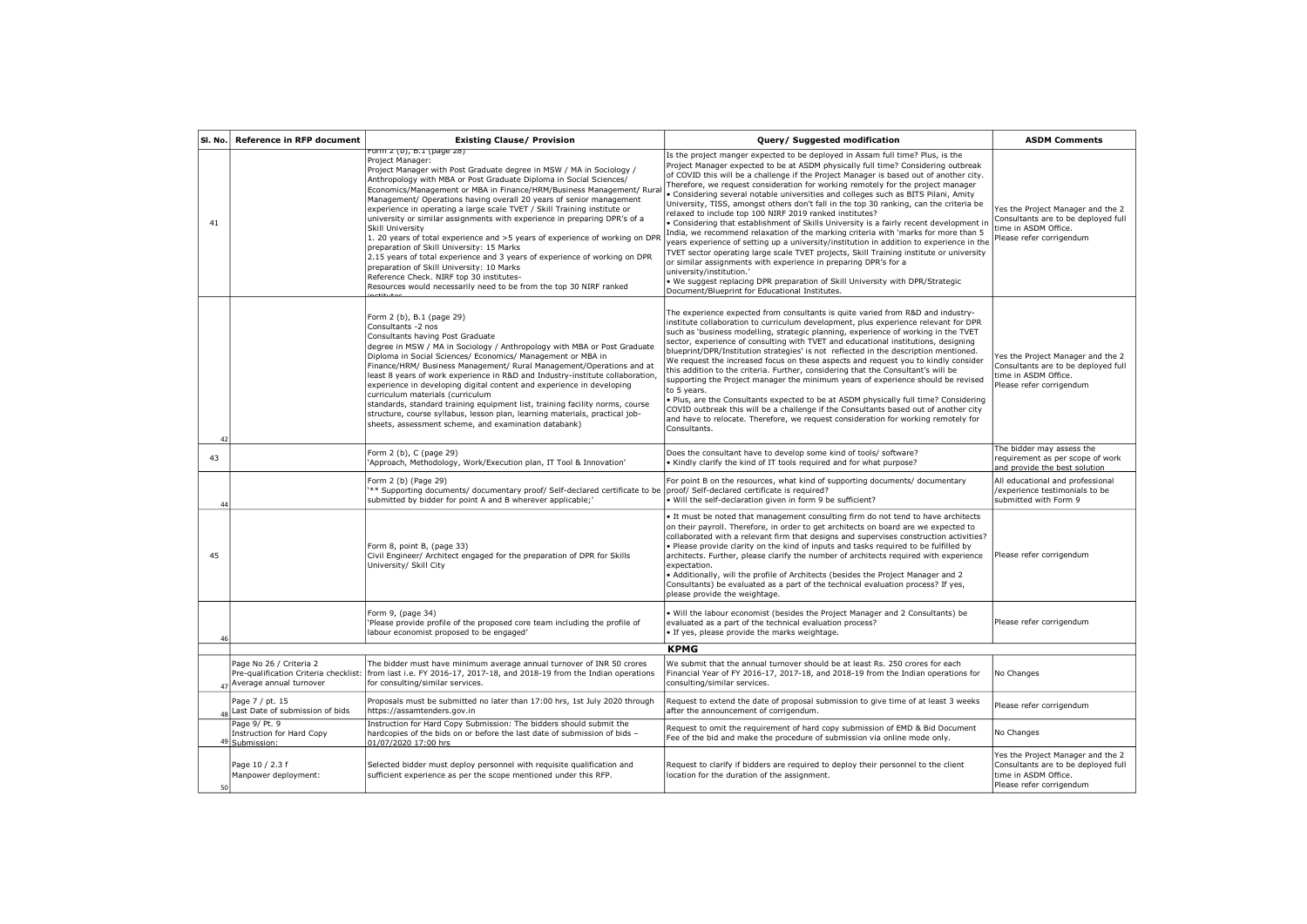| SI. No.  | <b>Reference in RFP document</b>                                                                    | <b>Existing Clause/ Provision</b>                                                                                                                                                                                                                                                                                                                                                                                                                                                                                                                                                                                                                                                                                                                                                                                                                                                                  | Query/ Suggested modification                                                                                                                                                                                                                                                                                                                                                                                                                                                                                                                                                                                                                                                                                                                                                                                                                                                                                                                                                                                                                                                                                                                                                                          | <b>ASDM Comments</b>                                                                                                         |
|----------|-----------------------------------------------------------------------------------------------------|----------------------------------------------------------------------------------------------------------------------------------------------------------------------------------------------------------------------------------------------------------------------------------------------------------------------------------------------------------------------------------------------------------------------------------------------------------------------------------------------------------------------------------------------------------------------------------------------------------------------------------------------------------------------------------------------------------------------------------------------------------------------------------------------------------------------------------------------------------------------------------------------------|--------------------------------------------------------------------------------------------------------------------------------------------------------------------------------------------------------------------------------------------------------------------------------------------------------------------------------------------------------------------------------------------------------------------------------------------------------------------------------------------------------------------------------------------------------------------------------------------------------------------------------------------------------------------------------------------------------------------------------------------------------------------------------------------------------------------------------------------------------------------------------------------------------------------------------------------------------------------------------------------------------------------------------------------------------------------------------------------------------------------------------------------------------------------------------------------------------|------------------------------------------------------------------------------------------------------------------------------|
| 41       |                                                                                                     | Form 2 (D), B.1 (page 28)<br>Project Manager:<br>Project Manager with Post Graduate degree in MSW / MA in Sociology /<br>Anthropology with MBA or Post Graduate Diploma in Social Sciences/<br>Economics/Management or MBA in Finance/HRM/Business Management/ Rural<br>Management/ Operations having overall 20 years of senior management<br>experience in operating a large scale TVET / Skill Training institute or<br>university or similar assignments with experience in preparing DPR's of a<br>Skill University<br>1. 20 years of total experience and >5 years of experience of working on DPR<br>preparation of Skill University: 15 Marks<br>2.15 years of total experience and 3 years of experience of working on DPR<br>preparation of Skill University: 10 Marks<br>Reference Check. NIRF top 30 institutes-<br>Resources would necessarily need to be from the top 30 NIRF ranked | Is the project manger expected to be deployed in Assam full time? Plus, is the<br>Project Manager expected to be at ASDM physically full time? Considering outbreak<br>of COVID this will be a challenge if the Project Manager is based out of another city.<br>Therefore, we request consideration for working remotely for the project manager<br>· Considering several notable universities and colleges such as BITS Pilani, Amity<br>University, TISS, amongst others don't fall in the top 30 ranking, can the criteria be<br>relaxed to include top 100 NIRF 2019 ranked institutes?<br>. Considering that establishment of Skills University is a fairly recent development in<br>India, we recommend relaxation of the marking criteria with 'marks for more than 5<br>years experience of setting up a university/institution in addition to experience in the<br>TVET sector operating large scale TVET projects, Skill Training institute or university<br>or similar assignments with experience in preparing DPR's for a<br>university/institution.'<br>. We suggest replacing DPR preparation of Skill University with DPR/Strategic<br>Document/Blueprint for Educational Institutes. | Yes the Project Manager and the 2<br>Consultants are to be deployed full<br>time in ASDM Office.<br>Please refer corrigendum |
| $\Delta$ |                                                                                                     | Form 2 (b), B.1 (page 29)<br>Consultants -2 nos<br>Consultants having Post Graduate<br>degree in MSW / MA in Sociology / Anthropology with MBA or Post Graduate<br>Diploma in Social Sciences/ Economics/ Management or MBA in<br>Finance/HRM/ Business Management/ Rural Management/Operations and at<br>least 8 years of work experience in R&D and Industry-institute collaboration,<br>experience in developing digital content and experience in developing<br>curriculum materials (curriculum<br>standards, standard training equipment list, training facility norms, course<br>structure, course syllabus, lesson plan, learning materials, practical job-<br>sheets, assessment scheme, and examination databank)                                                                                                                                                                        | The experience expected from consultants is quite varied from R&D and industry-<br>institute collaboration to curriculum development, plus experience relevant for DPR<br>such as 'business modelling, strategic planning, experience of working in the TVET<br>sector, experience of consulting with TVET and educational institutions, designing<br>blueprint/DPR/Institution strategies' is not reflected in the description mentioned.<br>We request the increased focus on these aspects and request you to kindly consider<br>this addition to the criteria. Further, considering that the Consultant's will be<br>supporting the Project manager the minimum years of experience should be revised<br>to 5 years.<br>. Plus, are the Consultants expected to be at ASDM physically full time? Considering<br>COVID outbreak this will be a challenge if the Consultants based out of another city<br>and have to relocate. Therefore, we request consideration for working remotely for<br>Consultants.                                                                                                                                                                                         | Yes the Project Manager and the 2<br>Consultants are to be deployed full<br>time in ASDM Office.<br>Please refer corrigendum |
| 43       |                                                                                                     | Form 2 (b), C (page 29)<br>'Approach, Methodology, Work/Execution plan, IT Tool & Innovation'                                                                                                                                                                                                                                                                                                                                                                                                                                                                                                                                                                                                                                                                                                                                                                                                      | Does the consultant have to develop some kind of tools/ software?<br>. Kindly clarify the kind of IT tools required and for what purpose?                                                                                                                                                                                                                                                                                                                                                                                                                                                                                                                                                                                                                                                                                                                                                                                                                                                                                                                                                                                                                                                              | The bidder may assess the<br>requirement as per scope of work<br>and provide the best solution                               |
| 44       |                                                                                                     | Form 2 (b) (Page 29)<br>*** Supporting documents/ documentary proof/ Self-declared certificate to be<br>submitted by bidder for point A and B wherever applicable;                                                                                                                                                                                                                                                                                                                                                                                                                                                                                                                                                                                                                                                                                                                                 | For point B on the resources, what kind of supporting documents/ documentary<br>proof/ Self-declared certificate is required?<br>• Will the self-declaration given in form 9 be sufficient?                                                                                                                                                                                                                                                                                                                                                                                                                                                                                                                                                                                                                                                                                                                                                                                                                                                                                                                                                                                                            | All educational and professional<br>/experience testimonials to be<br>submitted with Form 9                                  |
| 45       |                                                                                                     | Form 8, point B, (page 33)<br>Civil Engineer/ Architect engaged for the preparation of DPR for Skills<br>University/ Skill City                                                                                                                                                                                                                                                                                                                                                                                                                                                                                                                                                                                                                                                                                                                                                                    | . It must be noted that management consulting firm do not tend to have architects<br>on their payroll. Therefore, in order to get architects on board are we expected to<br>collaborated with a relevant firm that designs and supervises construction activities?<br>. Please provide clarity on the kind of inputs and tasks required to be fulfilled by<br>architects. Further, please clarify the number of architects required with experience<br>expectation.<br>. Additionally, will the profile of Architects (besides the Project Manager and 2<br>Consultants) be evaluated as a part of the technical evaluation process? If yes,<br>please provide the weightage.                                                                                                                                                                                                                                                                                                                                                                                                                                                                                                                          | Please refer corrigendum                                                                                                     |
| 46       |                                                                                                     | Form 9, (page 34)<br>'Please provide profile of the proposed core team including the profile of<br>labour economist proposed to be engaged'                                                                                                                                                                                                                                                                                                                                                                                                                                                                                                                                                                                                                                                                                                                                                        | . Will the labour economist (besides the Project Manager and 2 Consultants) be<br>evaluated as a part of the technical evaluation process?<br>. If yes, please provide the marks weightage.                                                                                                                                                                                                                                                                                                                                                                                                                                                                                                                                                                                                                                                                                                                                                                                                                                                                                                                                                                                                            | Please refer corrigendum                                                                                                     |
|          |                                                                                                     |                                                                                                                                                                                                                                                                                                                                                                                                                                                                                                                                                                                                                                                                                                                                                                                                                                                                                                    | <b>KPMG</b>                                                                                                                                                                                                                                                                                                                                                                                                                                                                                                                                                                                                                                                                                                                                                                                                                                                                                                                                                                                                                                                                                                                                                                                            |                                                                                                                              |
|          | Page No 26 / Criteria 2<br>Pre-qualification Criteria checklist:<br>$_{47}$ Average annual turnover | The bidder must have minimum average annual turnover of INR 50 crores<br>from last i.e. FY 2016-17, 2017-18, and 2018-19 from the Indian operations<br>for consulting/similar services.                                                                                                                                                                                                                                                                                                                                                                                                                                                                                                                                                                                                                                                                                                            | We submit that the annual turnover should be at least Rs. 250 crores for each<br>Financial Year of FY 2016-17, 2017-18, and 2018-19 from the Indian operations for<br>consulting/similar services.                                                                                                                                                                                                                                                                                                                                                                                                                                                                                                                                                                                                                                                                                                                                                                                                                                                                                                                                                                                                     | No Changes                                                                                                                   |
|          | Page 7 / pt. 15<br>48 Last Date of submission of bids                                               | Proposals must be submitted no later than 17:00 hrs, 1st July 2020 through<br>https://assamtenders.gov.in                                                                                                                                                                                                                                                                                                                                                                                                                                                                                                                                                                                                                                                                                                                                                                                          | Request to extend the date of proposal submission to give time of at least 3 weeks<br>after the announcement of corrigendum.                                                                                                                                                                                                                                                                                                                                                                                                                                                                                                                                                                                                                                                                                                                                                                                                                                                                                                                                                                                                                                                                           | Please refer corrigendum                                                                                                     |
|          | Page 9/ Pt. 9<br>Instruction for Hard Copy<br>49 Submission:                                        | Instruction for Hard Copy Submission: The bidders should submit the<br>hardcopies of the bids on or before the last date of submission of bids -<br>01/07/2020 17:00 hrs                                                                                                                                                                                                                                                                                                                                                                                                                                                                                                                                                                                                                                                                                                                           | Request to omit the requirement of hard copy submission of EMD & Bid Document<br>Fee of the bid and make the procedure of submission via online mode only.                                                                                                                                                                                                                                                                                                                                                                                                                                                                                                                                                                                                                                                                                                                                                                                                                                                                                                                                                                                                                                             | No Changes                                                                                                                   |
| 50       | Page 10 / 2.3 f<br>Manpower deployment:                                                             | Selected bidder must deploy personnel with requisite qualification and<br>sufficient experience as per the scope mentioned under this RFP.                                                                                                                                                                                                                                                                                                                                                                                                                                                                                                                                                                                                                                                                                                                                                         | Request to clarify if bidders are required to deploy their personnel to the client<br>location for the duration of the assignment.                                                                                                                                                                                                                                                                                                                                                                                                                                                                                                                                                                                                                                                                                                                                                                                                                                                                                                                                                                                                                                                                     | Yes the Project Manager and the 2<br>Consultants are to be deployed full<br>time in ASDM Office.<br>Please refer corrigendum |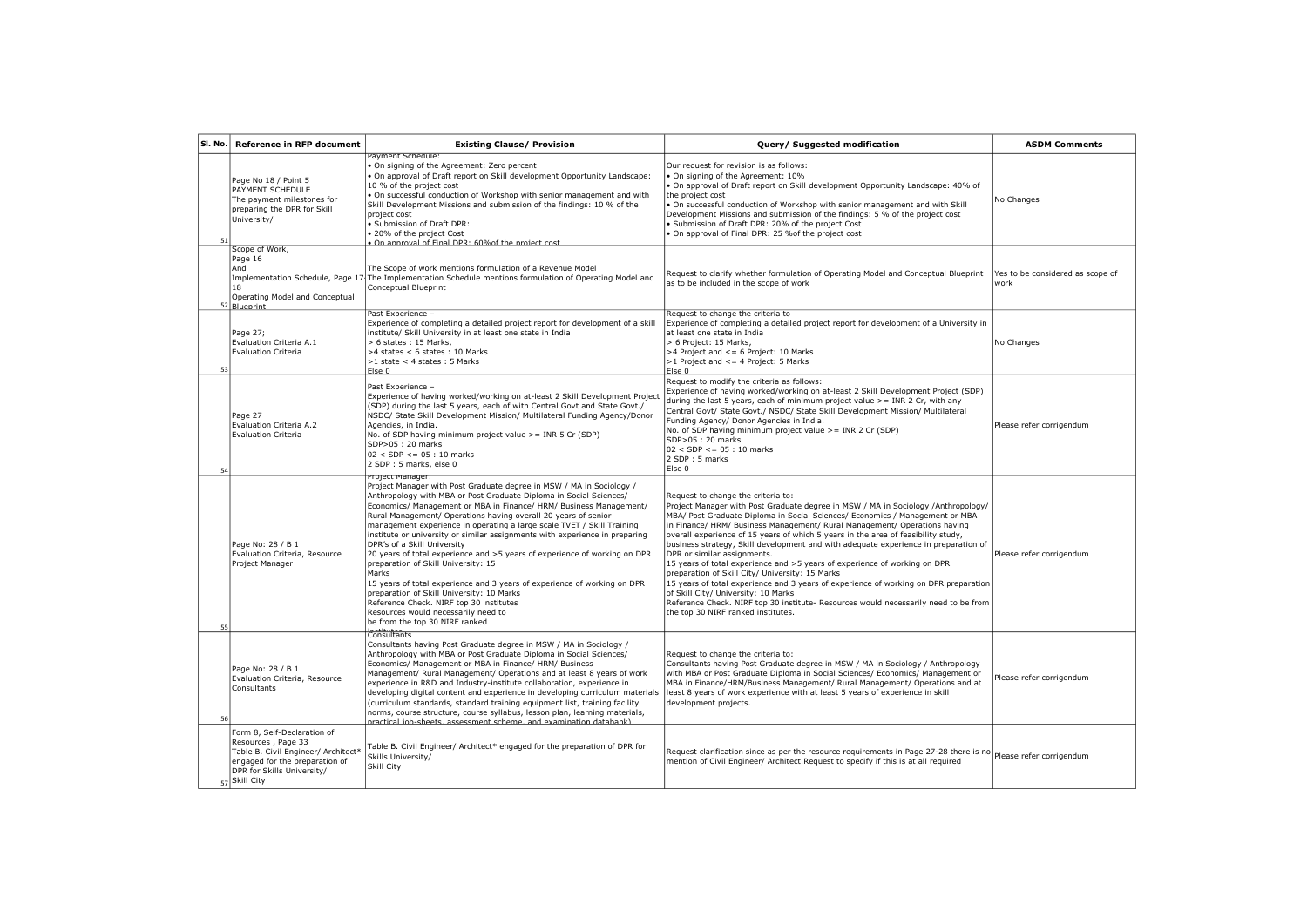| SI. No. | <b>Reference in RFP document</b>                                                                                                                                          | <b>Existing Clause/ Provision</b>                                                                                                                                                                                                                                                                                                                                                                                                                                                                                                                                                                                                                                                                                                                                                                                                                                        | Query/ Suggested modification                                                                                                                                                                                                                                                                                                                                                                                                                                                                                                                                                                                                                                                                                                                                                                                                                                                               | <b>ASDM Comments</b>                     |
|---------|---------------------------------------------------------------------------------------------------------------------------------------------------------------------------|--------------------------------------------------------------------------------------------------------------------------------------------------------------------------------------------------------------------------------------------------------------------------------------------------------------------------------------------------------------------------------------------------------------------------------------------------------------------------------------------------------------------------------------------------------------------------------------------------------------------------------------------------------------------------------------------------------------------------------------------------------------------------------------------------------------------------------------------------------------------------|---------------------------------------------------------------------------------------------------------------------------------------------------------------------------------------------------------------------------------------------------------------------------------------------------------------------------------------------------------------------------------------------------------------------------------------------------------------------------------------------------------------------------------------------------------------------------------------------------------------------------------------------------------------------------------------------------------------------------------------------------------------------------------------------------------------------------------------------------------------------------------------------|------------------------------------------|
| 51      | Page No 18 / Point 5<br>PAYMENT SCHEDULE<br>The payment milestones for<br>preparing the DPR for Skill<br>University/                                                      | Payment Schedule:<br>On signing of the Agreement: Zero percent<br>On approval of Draft report on Skill development Opportunity Landscape:<br>10 % of the project cost<br>. On successful conduction of Workshop with senior management and with<br>Skill Development Missions and submission of the findings: 10 % of the<br>project cost<br>Submission of Draft DPR:<br>20% of the project Cost<br>On annroval of Final DPR · 60% of the project cost                                                                                                                                                                                                                                                                                                                                                                                                                   | Our request for revision is as follows:<br>. On signing of the Agreement: 10%<br>. On approval of Draft report on Skill development Opportunity Landscape: 40% of<br>the project cost<br>. On successful conduction of Workshop with senior management and with Skill<br>Development Missions and submission of the findings: 5 % of the project cost<br>· Submission of Draft DPR: 20% of the project Cost<br>. On approval of Final DPR: 25 % of the project cost                                                                                                                                                                                                                                                                                                                                                                                                                         | No Changes                               |
|         | Scope of Work,<br>Page 16<br>And<br>18<br>Operating Model and Conceptual<br>52 Bluenrint                                                                                  | The Scope of work mentions formulation of a Revenue Model<br>Implementation Schedule, Page 17 The Implementation Schedule mentions formulation of Operating Model and<br>Conceptual Blueprint                                                                                                                                                                                                                                                                                                                                                                                                                                                                                                                                                                                                                                                                            | Request to clarify whether formulation of Operating Model and Conceptual Blueprint<br>as to be included in the scope of work                                                                                                                                                                                                                                                                                                                                                                                                                                                                                                                                                                                                                                                                                                                                                                | Yes to be considered as scope of<br>work |
| 53      | Page 27;<br>Evaluation Criteria A.1<br><b>Evaluation Criteria</b>                                                                                                         | Past Experience -<br>Experience of completing a detailed project report for development of a skill<br>institute/ Skill University in at least one state in India<br>> 6 states: 15 Marks,<br>>4 states < 6 states: 10 Marks<br>$>1$ state < 4 states : 5 Marks<br>Fise <sub>0</sub>                                                                                                                                                                                                                                                                                                                                                                                                                                                                                                                                                                                      | Request to change the criteria to<br>Experience of completing a detailed project report for development of a University in<br>at least one state in India<br>> 6 Project: 15 Marks.<br>>4 Project and <= 6 Project: 10 Marks<br>$>1$ Project and $\leq$ = 4 Project: 5 Marks<br>Fise <sub>0</sub>                                                                                                                                                                                                                                                                                                                                                                                                                                                                                                                                                                                           | No Changes                               |
| 54      | Page 27<br>Evaluation Criteria A.2<br><b>Evaluation Criteria</b>                                                                                                          | Past Experience -<br>Experience of having worked/working on at-least 2 Skill Development Project<br>(SDP) during the last 5 years, each of with Central Govt and State Govt./<br>NSDC/ State Skill Development Mission/ Multilateral Funding Agency/Donor<br>Agencies, in India.<br>No. of SDP having minimum project value >= INR 5 Cr (SDP)<br>SDP>05: 20 marks<br>$02 <$ SDP <= $05 : 10$ marks<br>2 SDP: 5 marks, else 0                                                                                                                                                                                                                                                                                                                                                                                                                                             | Request to modify the criteria as follows:<br>Experience of having worked/working on at-least 2 Skill Development Project (SDP)<br>during the last 5 years, each of minimum project value >= INR 2 Cr, with any<br>Central Govt/ State Govt./ NSDC/ State Skill Development Mission/ Multilateral<br>Funding Agency/ Donor Agencies in India.<br>No. of SDP having minimum project value >= INR 2 Cr (SDP)<br>SDP>05: 20 marks<br>$ 02 <$ SDP $\leq$ = 05 : 10 marks<br>2 SDP : 5 marks<br>Else 0                                                                                                                                                                                                                                                                                                                                                                                           | Please refer corrigendum                 |
| 55      | Page No: 28 / B 1<br>Evaluation Criteria, Resource<br>Project Manager                                                                                                     | Project manager:<br>Project Manager with Post Graduate degree in MSW / MA in Sociology /<br>Anthropology with MBA or Post Graduate Diploma in Social Sciences/<br>Economics/ Management or MBA in Finance/ HRM/ Business Management/<br>Rural Management/ Operations having overall 20 years of senior<br>management experience in operating a large scale TVET / Skill Training<br>institute or university or similar assignments with experience in preparing<br>DPR's of a Skill University<br>20 years of total experience and >5 years of experience of working on DPR<br>preparation of Skill University: 15<br>Marks<br>15 years of total experience and 3 years of experience of working on DPR<br>preparation of Skill University: 10 Marks<br>Reference Check. NIRF top 30 institutes<br>Resources would necessarily need to<br>be from the top 30 NIRF ranked | Request to change the criteria to:<br>Project Manager with Post Graduate degree in MSW / MA in Sociology /Anthropology/<br>MBA/ Post Graduate Diploma in Social Sciences/ Economics / Management or MBA<br>in Finance/ HRM/ Business Management/ Rural Management/ Operations having<br>overall experience of 15 years of which 5 years in the area of feasibility study,<br>business strategy, Skill development and with adequate experience in preparation of<br>DPR or similar assignments.<br>15 years of total experience and >5 years of experience of working on DPR<br>preparation of Skill City/ University: 15 Marks<br>15 years of total experience and 3 years of experience of working on DPR preparation<br>of Skill City/ University: 10 Marks<br>Reference Check. NIRF top 30 institute- Resources would necessarily need to be from<br>the top 30 NIRF ranked institutes. | Please refer corrigendum                 |
| 56      | Page No: 28 / B 1<br>Evaluation Criteria, Resource<br>Consultants                                                                                                         | <b>Consultants</b><br>Consultants having Post Graduate degree in MSW / MA in Sociology /<br>Anthropology with MBA or Post Graduate Diploma in Social Sciences/<br>Economics/ Management or MBA in Finance/ HRM/ Business<br>Management/ Rural Management/ Operations and at least 8 years of work<br>experience in R&D and Industry-institute collaboration, experience in<br>developing digital content and experience in developing curriculum materials<br>(curriculum standards, standard training equipment list, training facility<br>norms, course structure, course syllabus, lesson plan, learning materials,<br>practical iob-sheets, assessment scheme, and examination databank).                                                                                                                                                                            | Request to change the criteria to:<br>Consultants having Post Graduate degree in MSW / MA in Sociology / Anthropology<br>with MBA or Post Graduate Diploma in Social Sciences/ Economics/ Management or<br>MBA in Finance/HRM/Business Management/ Rural Management/ Operations and at<br>least 8 years of work experience with at least 5 years of experience in skill<br>development projects.                                                                                                                                                                                                                                                                                                                                                                                                                                                                                            | Please refer corrigendum                 |
|         | Form 8, Self-Declaration of<br>Resources, Page 33<br>Table B. Civil Engineer/ Architect*<br>engaged for the preparation of<br>DPR for Skills University/<br>57 Skill City | Table B. Civil Engineer/ Architect* engaged for the preparation of DPR for<br>Skills University/<br>Skill City                                                                                                                                                                                                                                                                                                                                                                                                                                                                                                                                                                                                                                                                                                                                                           | Request clarification since as per the resource requirements in Page 27-28 there is no Please refer corrigendum<br>mention of Civil Engineer/ Architect. Request to specify if this is at all required                                                                                                                                                                                                                                                                                                                                                                                                                                                                                                                                                                                                                                                                                      |                                          |